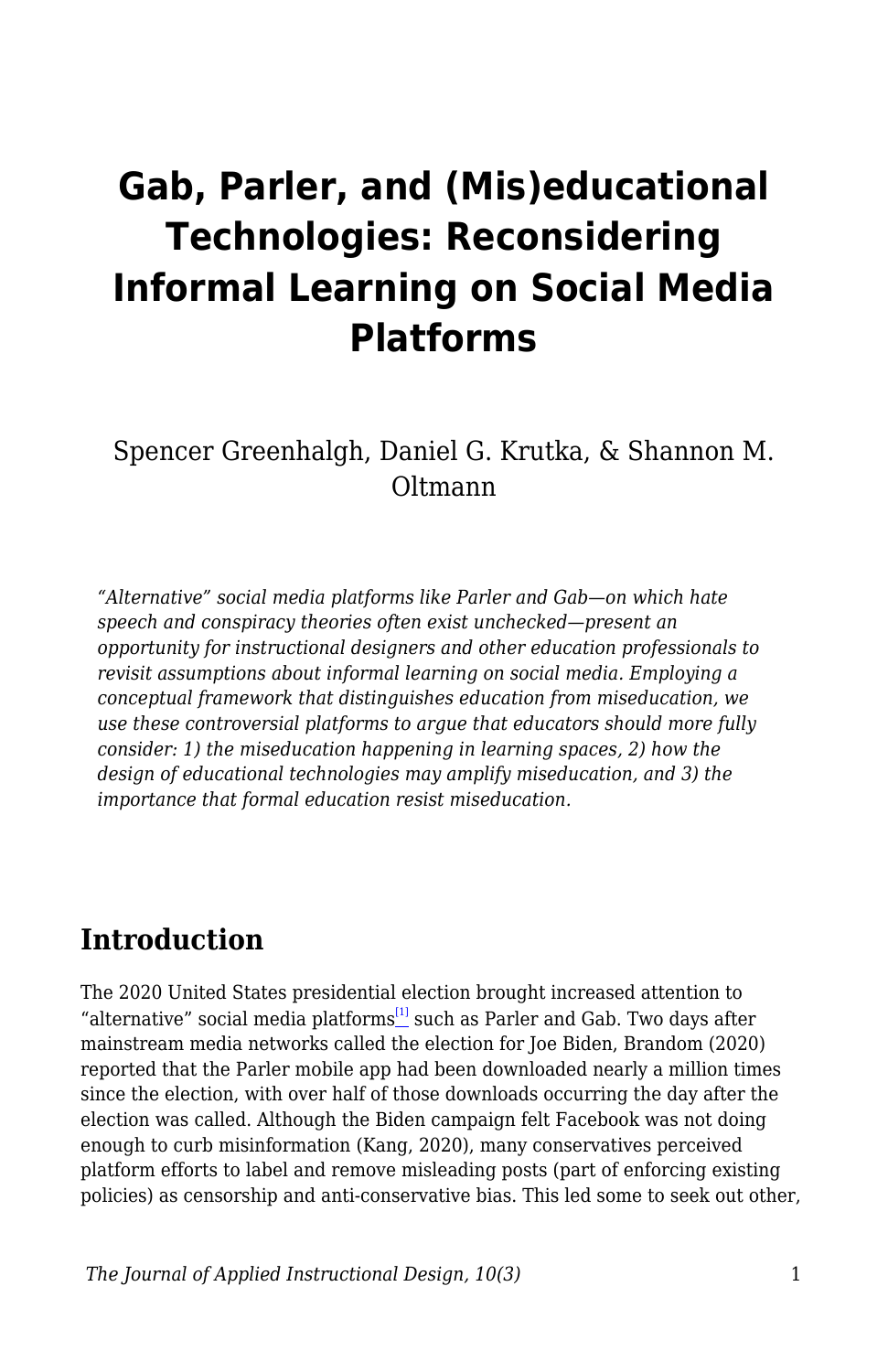# **Gab, Parler, and (Mis)educational Technologies: Reconsidering Informal Learning on Social Media Platforms**

Spencer Greenhalgh, Daniel G. Krutka, & Shannon M. Oltmann

*"Alternative" social media platforms like Parler and Gab—on which hate speech and conspiracy theories often exist unchecked—present an opportunity for instructional designers and other education professionals to revisit assumptions about informal learning on social media. Employing a conceptual framework that distinguishes education from miseducation, we use these controversial platforms to argue that educators should more fully consider: 1) the miseducation happening in learning spaces, 2) how the design of educational technologies may amplify miseducation, and 3) the importance that formal education resist miseducation.*

### **Introduction**

The 2020 United States presidential election brought increased attention to "alternative" social media platforms $^{[1]}$  $^{[1]}$  $^{[1]}$  such as Parler and Gab. Two days after mainstream media networks called the election for Joe Biden, Brandom (2020) reported that the Parler mobile app had been downloaded nearly a million times since the election, with over half of those downloads occurring the day after the election was called. Although the Biden campaign felt Facebook was not doing enough to curb misinformation (Kang, 2020), many conservatives perceived platform efforts to label and remove misleading posts (part of enforcing existing policies) as censorship and anti-conservative bias. This led some to seek out other,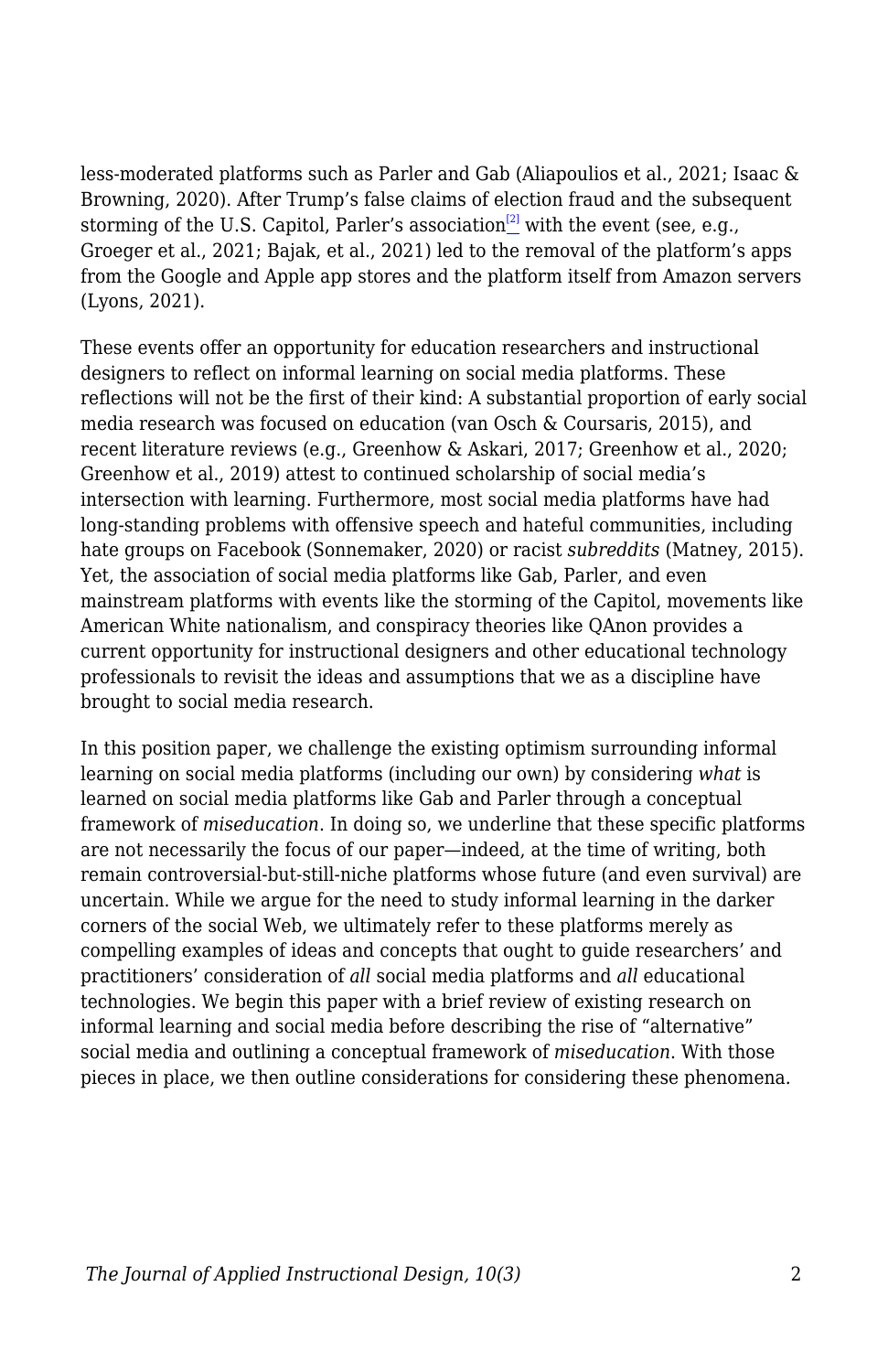less-moderated platforms such as Parler and Gab (Aliapoulios et al., 2021; Isaac & Browning, 2020). After Trump's false claims of election fraud and the subsequent storming of the U.S. Capitol, Parler's association<sup>[\[2\]](#page--1-0)</sup> with the event (see, e.g., Groeger et al., 2021; Bajak, et al., 2021) led to the removal of the platform's apps from the Google and Apple app stores and the platform itself from Amazon servers (Lyons, 2021).

These events offer an opportunity for education researchers and instructional designers to reflect on informal learning on social media platforms. These reflections will not be the first of their kind: A substantial proportion of early social media research was focused on education (van Osch & Coursaris, 2015), and recent literature reviews (e.g., Greenhow & Askari, 2017; Greenhow et al., 2020; Greenhow et al., 2019) attest to continued scholarship of social media's intersection with learning. Furthermore, most social media platforms have had long-standing problems with offensive speech and hateful communities, including hate groups on Facebook (Sonnemaker, 2020) or racist *subreddits* (Matney, 2015). Yet, the association of social media platforms like Gab, Parler, and even mainstream platforms with events like the storming of the Capitol, movements like American White nationalism, and conspiracy theories like QAnon provides a current opportunity for instructional designers and other educational technology professionals to revisit the ideas and assumptions that we as a discipline have brought to social media research.

In this position paper, we challenge the existing optimism surrounding informal learning on social media platforms (including our own) by considering *what* is learned on social media platforms like Gab and Parler through a conceptual framework of *miseducation*. In doing so, we underline that these specific platforms are not necessarily the focus of our paper—indeed, at the time of writing, both remain controversial-but-still-niche platforms whose future (and even survival) are uncertain. While we argue for the need to study informal learning in the darker corners of the social Web, we ultimately refer to these platforms merely as compelling examples of ideas and concepts that ought to guide researchers' and practitioners' consideration of *all* social media platforms and *all* educational technologies. We begin this paper with a brief review of existing research on informal learning and social media before describing the rise of "alternative" social media and outlining a conceptual framework of *miseducation*. With those pieces in place, we then outline considerations for considering these phenomena.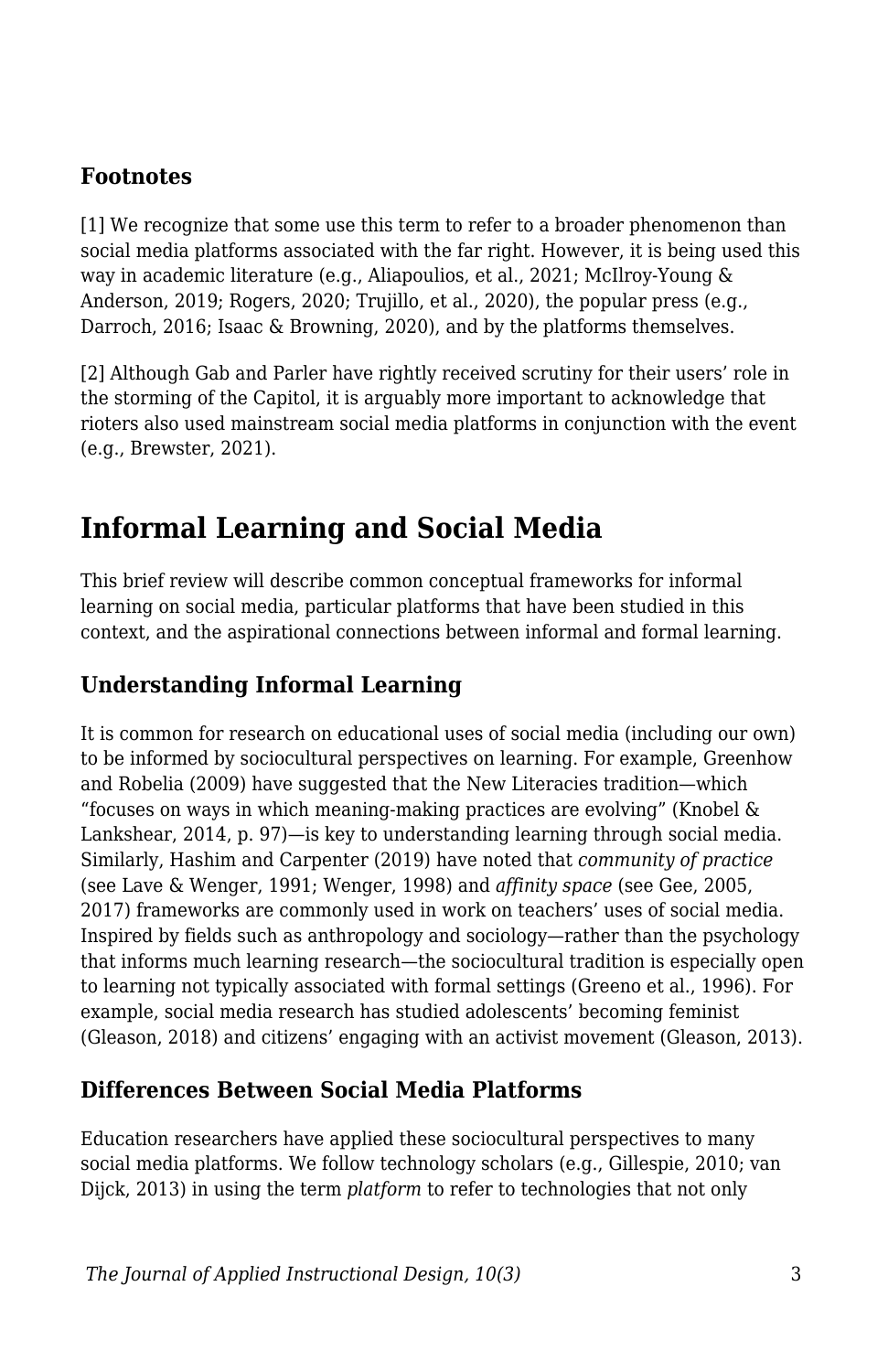### **Footnotes**

[1] We recognize that some use this term to refer to a broader phenomenon than social media platforms associated with the far right. However, it is being used this way in academic literature (e.g., Aliapoulios, et al., 2021; McIlroy-Young & Anderson, 2019; Rogers, 2020; Trujillo, et al., 2020), the popular press (e.g., Darroch, 2016; Isaac & Browning, 2020), and by the platforms themselves.

[2] Although Gab and Parler have rightly received scrutiny for their users' role in the storming of the Capitol, it is arguably more important to acknowledge that rioters also used mainstream social media platforms in conjunction with the event (e.g., Brewster, 2021).

# **Informal Learning and Social Media**

This brief review will describe common conceptual frameworks for informal learning on social media, particular platforms that have been studied in this context, and the aspirational connections between informal and formal learning.

### **Understanding Informal Learning**

It is common for research on educational uses of social media (including our own) to be informed by sociocultural perspectives on learning. For example, Greenhow and Robelia (2009) have suggested that the New Literacies tradition—which "focuses on ways in which meaning-making practices are evolving" (Knobel & Lankshear, 2014, p. 97)—is key to understanding learning through social media. Similarly, Hashim and Carpenter (2019) have noted that *community of practice* (see Lave & Wenger, 1991; Wenger, 1998) and *affinity space* (see Gee, 2005, 2017) frameworks are commonly used in work on teachers' uses of social media. Inspired by fields such as anthropology and sociology—rather than the psychology that informs much learning research—the sociocultural tradition is especially open to learning not typically associated with formal settings (Greeno et al., 1996). For example, social media research has studied adolescents' becoming feminist (Gleason, 2018) and citizens' engaging with an activist movement (Gleason, 2013).

### **Differences Between Social Media Platforms**

Education researchers have applied these sociocultural perspectives to many social media platforms. We follow technology scholars (e.g., Gillespie, 2010; van Dijck, 2013) in using the term *platform* to refer to technologies that not only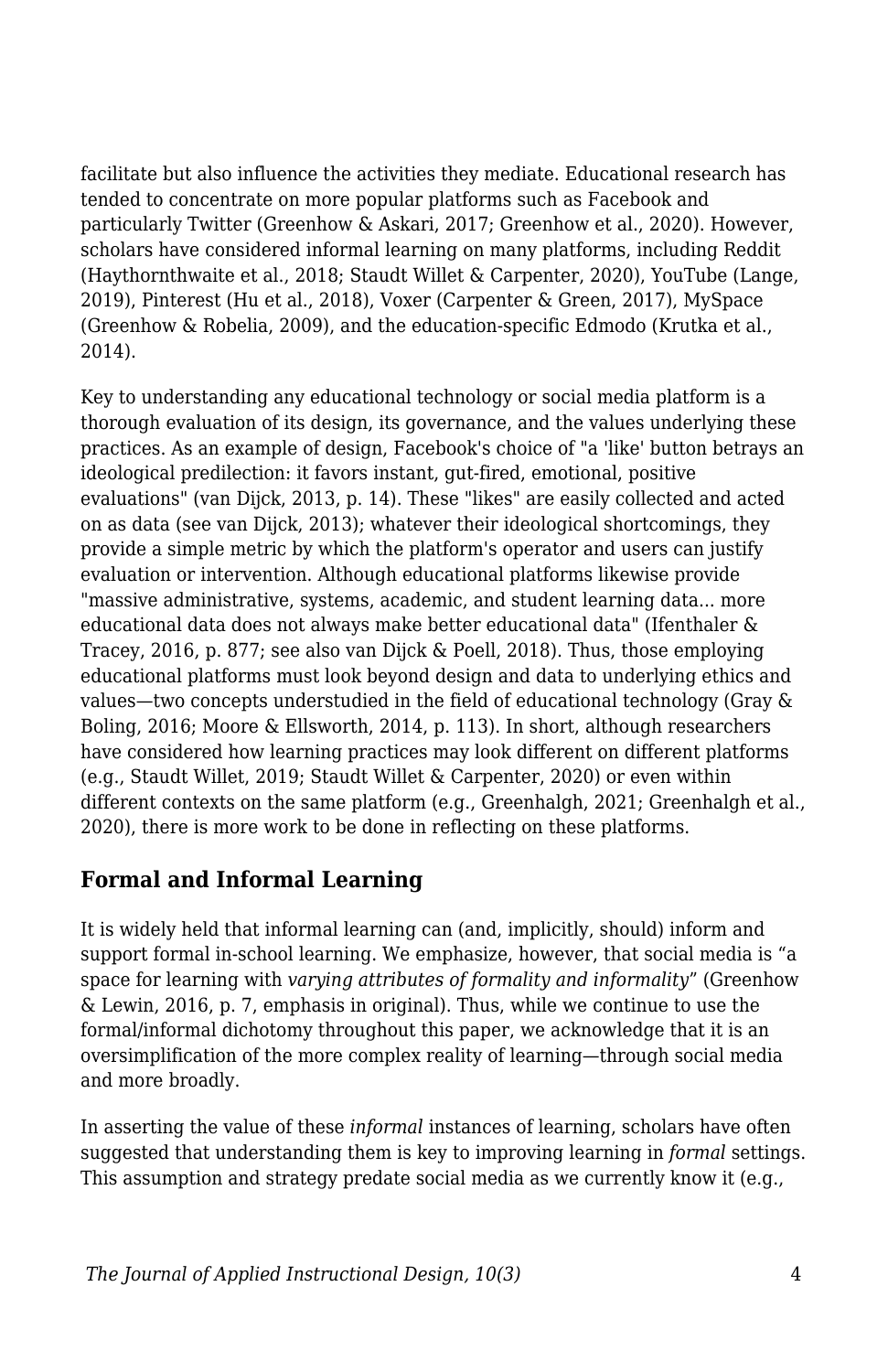facilitate but also influence the activities they mediate. Educational research has tended to concentrate on more popular platforms such as Facebook and particularly Twitter (Greenhow & Askari, 2017; Greenhow et al., 2020). However, scholars have considered informal learning on many platforms, including Reddit (Haythornthwaite et al., 2018; Staudt Willet & Carpenter, 2020), YouTube (Lange, 2019), Pinterest (Hu et al., 2018), Voxer (Carpenter & Green, 2017), MySpace (Greenhow & Robelia, 2009), and the education-specific Edmodo (Krutka et al., 2014).

Key to understanding any educational technology or social media platform is a thorough evaluation of its design, its governance, and the values underlying these practices. As an example of design, Facebook's choice of "a 'like' button betrays an ideological predilection: it favors instant, gut-fired, emotional, positive evaluations" (van Dijck, 2013, p. 14). These "likes" are easily collected and acted on as data (see van Dijck, 2013); whatever their ideological shortcomings, they provide a simple metric by which the platform's operator and users can justify evaluation or intervention. Although educational platforms likewise provide "massive administrative, systems, academic, and student learning data... more educational data does not always make better educational data" (Ifenthaler & Tracey, 2016, p. 877; see also van Dijck & Poell, 2018). Thus, those employing educational platforms must look beyond design and data to underlying ethics and values—two concepts understudied in the field of educational technology (Gray & Boling, 2016; Moore & Ellsworth, 2014, p. 113). In short, although researchers have considered how learning practices may look different on different platforms (e.g., Staudt Willet, 2019; Staudt Willet & Carpenter, 2020) or even within different contexts on the same platform (e.g., Greenhalgh, 2021; Greenhalgh et al., 2020), there is more work to be done in reflecting on these platforms.

### **Formal and Informal Learning**

It is widely held that informal learning can (and, implicitly, should) inform and support formal in-school learning. We emphasize, however, that social media is "a space for learning with *varying attributes of formality and informality*" (Greenhow & Lewin, 2016, p. 7, emphasis in original). Thus, while we continue to use the formal/informal dichotomy throughout this paper, we acknowledge that it is an oversimplification of the more complex reality of learning—through social media and more broadly.

In asserting the value of these *informal* instances of learning, scholars have often suggested that understanding them is key to improving learning in *formal* settings. This assumption and strategy predate social media as we currently know it (e.g.,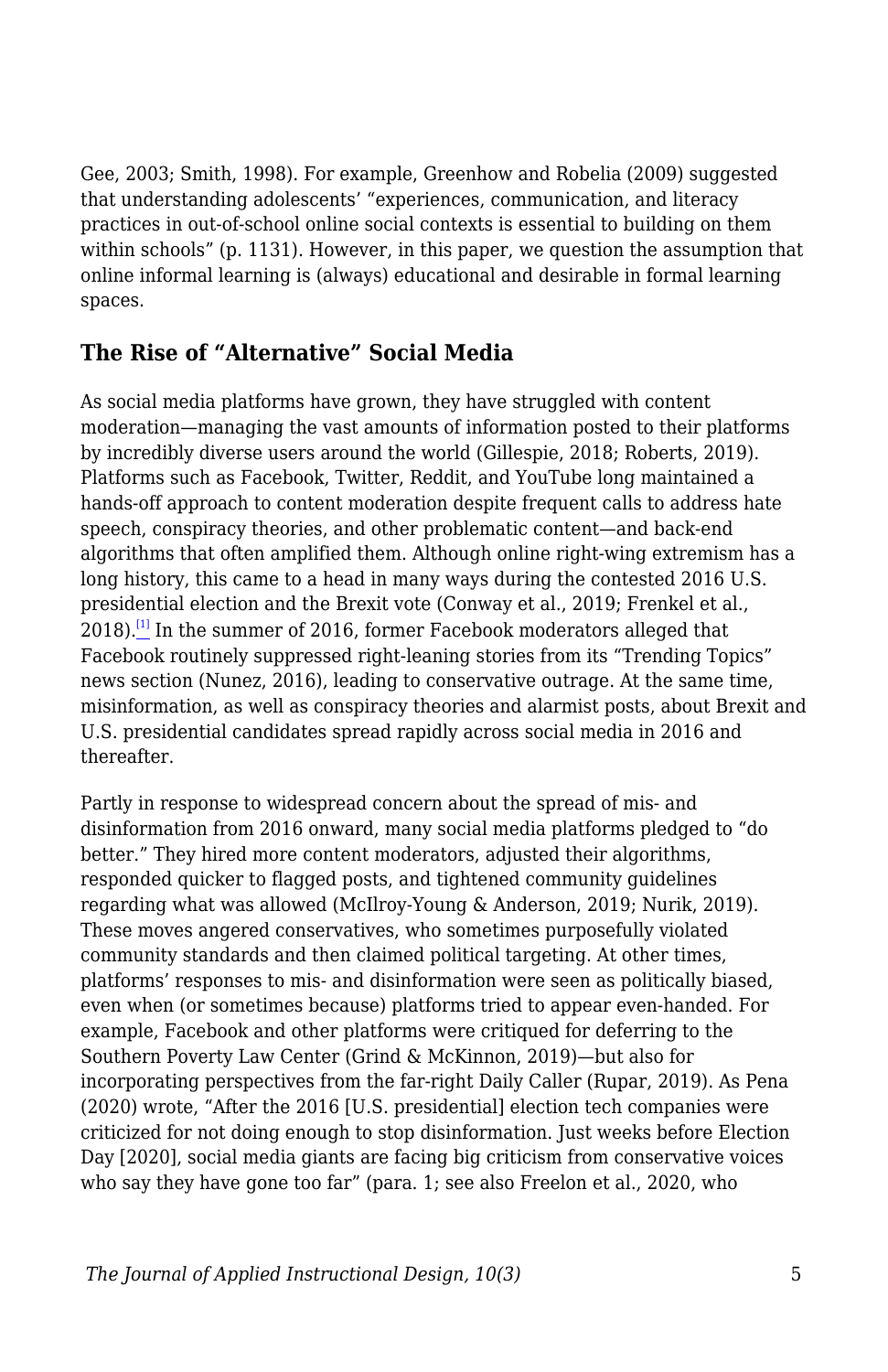Gee, 2003; Smith, 1998). For example, Greenhow and Robelia (2009) suggested that understanding adolescents' "experiences, communication, and literacy practices in out-of-school online social contexts is essential to building on them within schools" (p. 1131). However, in this paper, we question the assumption that online informal learning is (always) educational and desirable in formal learning spaces.

#### **The Rise of "Alternative" Social Media**

As social media platforms have grown, they have struggled with content moderation—managing the vast amounts of information posted to their platforms by incredibly diverse users around the world (Gillespie, 2018; Roberts, 2019). Platforms such as Facebook, Twitter, Reddit, and YouTube long maintained a hands-off approach to content moderation despite frequent calls to address hate speech, conspiracy theories, and other problematic content—and back-end algorithms that often amplified them. Although online right-wing extremism has a long history, this came to a head in many ways during the contested 2016 U.S. presidential election and the Brexit vote (Conway et al., 2019; Frenkel et al., 2018).<sup>[\[1\]](#page--1-0)</sup> In the summer of 2016, former Facebook moderators alleged that Facebook routinely suppressed right-leaning stories from its "Trending Topics" news section (Nunez, 2016), leading to conservative outrage. At the same time, misinformation, as well as conspiracy theories and alarmist posts, about Brexit and U.S. presidential candidates spread rapidly across social media in 2016 and thereafter.

Partly in response to widespread concern about the spread of mis- and disinformation from 2016 onward, many social media platforms pledged to "do better." They hired more content moderators, adjusted their algorithms, responded quicker to flagged posts, and tightened community guidelines regarding what was allowed (McIlroy-Young & Anderson, 2019; Nurik, 2019). These moves angered conservatives, who sometimes purposefully violated community standards and then claimed political targeting. At other times, platforms' responses to mis- and disinformation were seen as politically biased, even when (or sometimes because) platforms tried to appear even-handed. For example, Facebook and other platforms were critiqued for deferring to the Southern Poverty Law Center (Grind & McKinnon, 2019)—but also for incorporating perspectives from the far-right Daily Caller (Rupar, 2019). As Pena (2020) wrote, "After the 2016 [U.S. presidential] election tech companies were criticized for not doing enough to stop disinformation. Just weeks before Election Day [2020], social media giants are facing big criticism from conservative voices who say they have gone too far" (para. 1; see also Freelon et al., 2020, who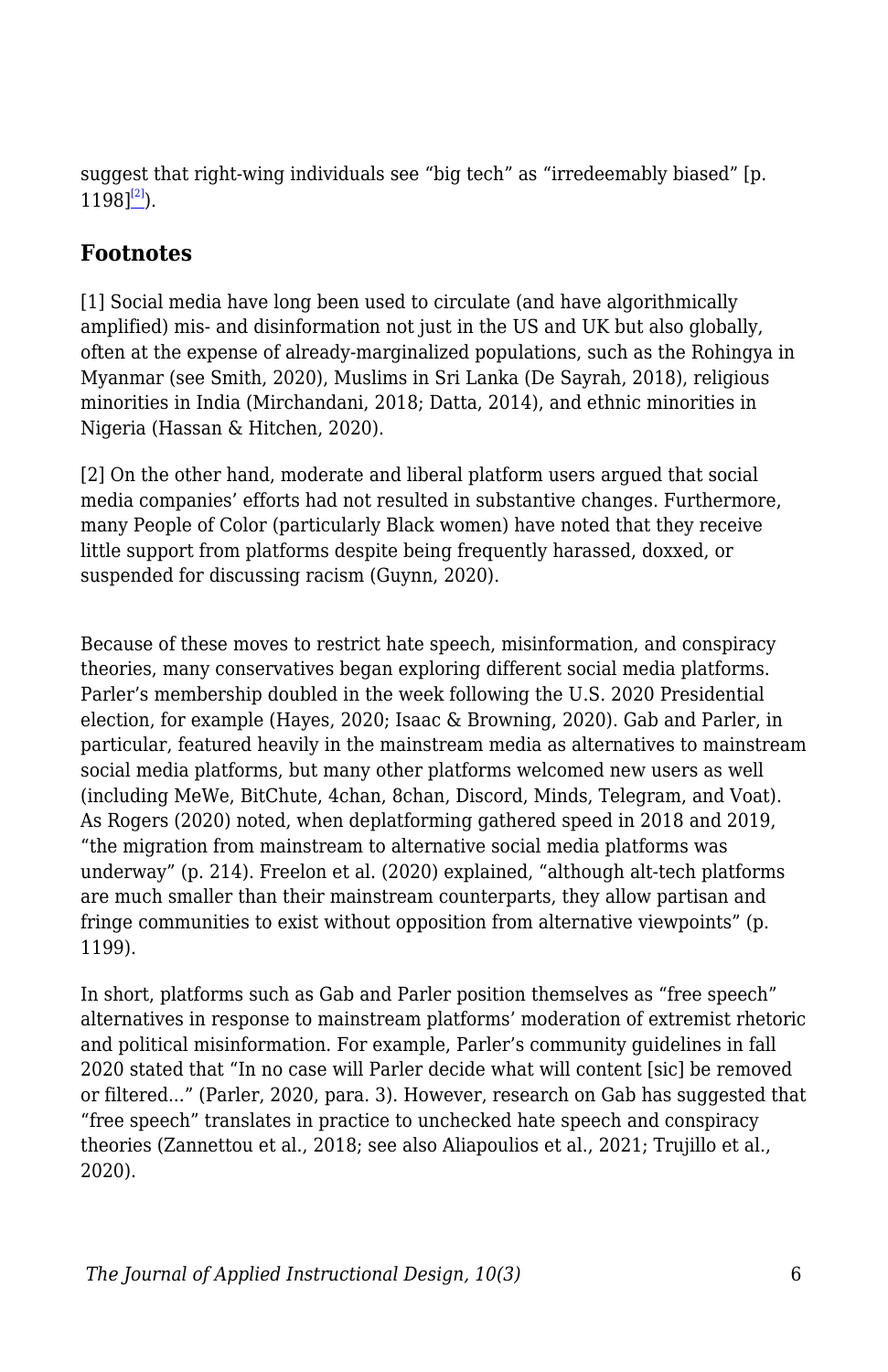suggest that right-wing individuals see "big tech" as "irredeemably biased" [p.  $1198$ <sup>[\[2\]](#page--1-0)</sup>).

### **Footnotes**

[1] Social media have long been used to circulate (and have algorithmically amplified) mis- and disinformation not just in the US and UK but also globally, often at the expense of already-marginalized populations, such as the Rohingya in Myanmar (see Smith, 2020), Muslims in Sri Lanka (De Sayrah, 2018), religious minorities in India (Mirchandani, 2018; Datta, 2014), and ethnic minorities in Nigeria (Hassan & Hitchen, 2020).

[2] On the other hand, moderate and liberal platform users argued that social media companies' efforts had not resulted in substantive changes. Furthermore, many People of Color (particularly Black women) have noted that they receive little support from platforms despite being frequently harassed, doxxed, or suspended for discussing racism (Guynn, 2020).

Because of these moves to restrict hate speech, misinformation, and conspiracy theories, many conservatives began exploring different social media platforms. Parler's membership doubled in the week following the U.S. 2020 Presidential election, for example (Hayes, 2020; Isaac & Browning, 2020). Gab and Parler, in particular, featured heavily in the mainstream media as alternatives to mainstream social media platforms, but many other platforms welcomed new users as well (including MeWe, BitChute, 4chan, 8chan, Discord, Minds, Telegram, and Voat). As Rogers (2020) noted, when deplatforming gathered speed in 2018 and 2019, "the migration from mainstream to alternative social media platforms was underway" (p. 214). Freelon et al. (2020) explained, "although alt-tech platforms are much smaller than their mainstream counterparts, they allow partisan and fringe communities to exist without opposition from alternative viewpoints" (p. 1199).

In short, platforms such as Gab and Parler position themselves as "free speech" alternatives in response to mainstream platforms' moderation of extremist rhetoric and political misinformation. For example, Parler's community guidelines in fall 2020 stated that "In no case will Parler decide what will content [sic] be removed or filtered..." (Parler, 2020, para. 3). However, research on Gab has suggested that "free speech" translates in practice to unchecked hate speech and conspiracy theories (Zannettou et al., 2018; see also Aliapoulios et al., 2021; Trujillo et al., 2020).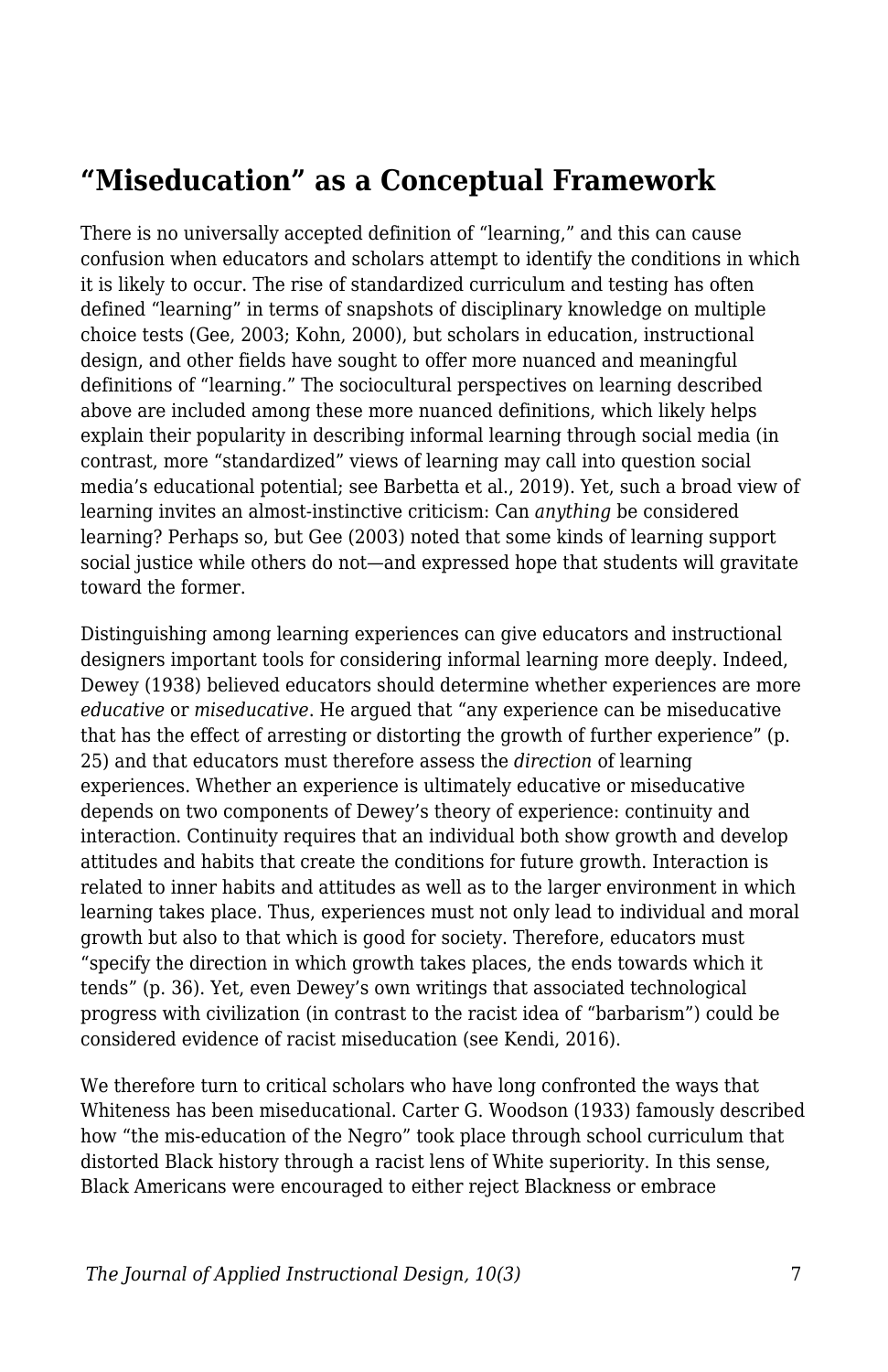## **"Miseducation" as a Conceptual Framework**

There is no universally accepted definition of "learning," and this can cause confusion when educators and scholars attempt to identify the conditions in which it is likely to occur. The rise of standardized curriculum and testing has often defined "learning" in terms of snapshots of disciplinary knowledge on multiple choice tests (Gee, 2003; Kohn, 2000), but scholars in education, instructional design, and other fields have sought to offer more nuanced and meaningful definitions of "learning." The sociocultural perspectives on learning described above are included among these more nuanced definitions, which likely helps explain their popularity in describing informal learning through social media (in contrast, more "standardized" views of learning may call into question social media's educational potential; see Barbetta et al., 2019). Yet, such a broad view of learning invites an almost-instinctive criticism: Can *anything* be considered learning? Perhaps so, but Gee (2003) noted that some kinds of learning support social justice while others do not—and expressed hope that students will gravitate toward the former.

Distinguishing among learning experiences can give educators and instructional designers important tools for considering informal learning more deeply. Indeed, Dewey (1938) believed educators should determine whether experiences are more *educative* or *miseducative*. He argued that "any experience can be miseducative that has the effect of arresting or distorting the growth of further experience" (p. 25) and that educators must therefore assess the *direction* of learning experiences. Whether an experience is ultimately educative or miseducative depends on two components of Dewey's theory of experience: continuity and interaction. Continuity requires that an individual both show growth and develop attitudes and habits that create the conditions for future growth. Interaction is related to inner habits and attitudes as well as to the larger environment in which learning takes place. Thus, experiences must not only lead to individual and moral growth but also to that which is good for society. Therefore, educators must "specify the direction in which growth takes places, the ends towards which it tends" (p. 36). Yet, even Dewey's own writings that associated technological progress with civilization (in contrast to the racist idea of "barbarism") could be considered evidence of racist miseducation (see Kendi, 2016).

We therefore turn to critical scholars who have long confronted the ways that Whiteness has been miseducational. Carter G. Woodson (1933) famously described how "the mis-education of the Negro" took place through school curriculum that distorted Black history through a racist lens of White superiority. In this sense, Black Americans were encouraged to either reject Blackness or embrace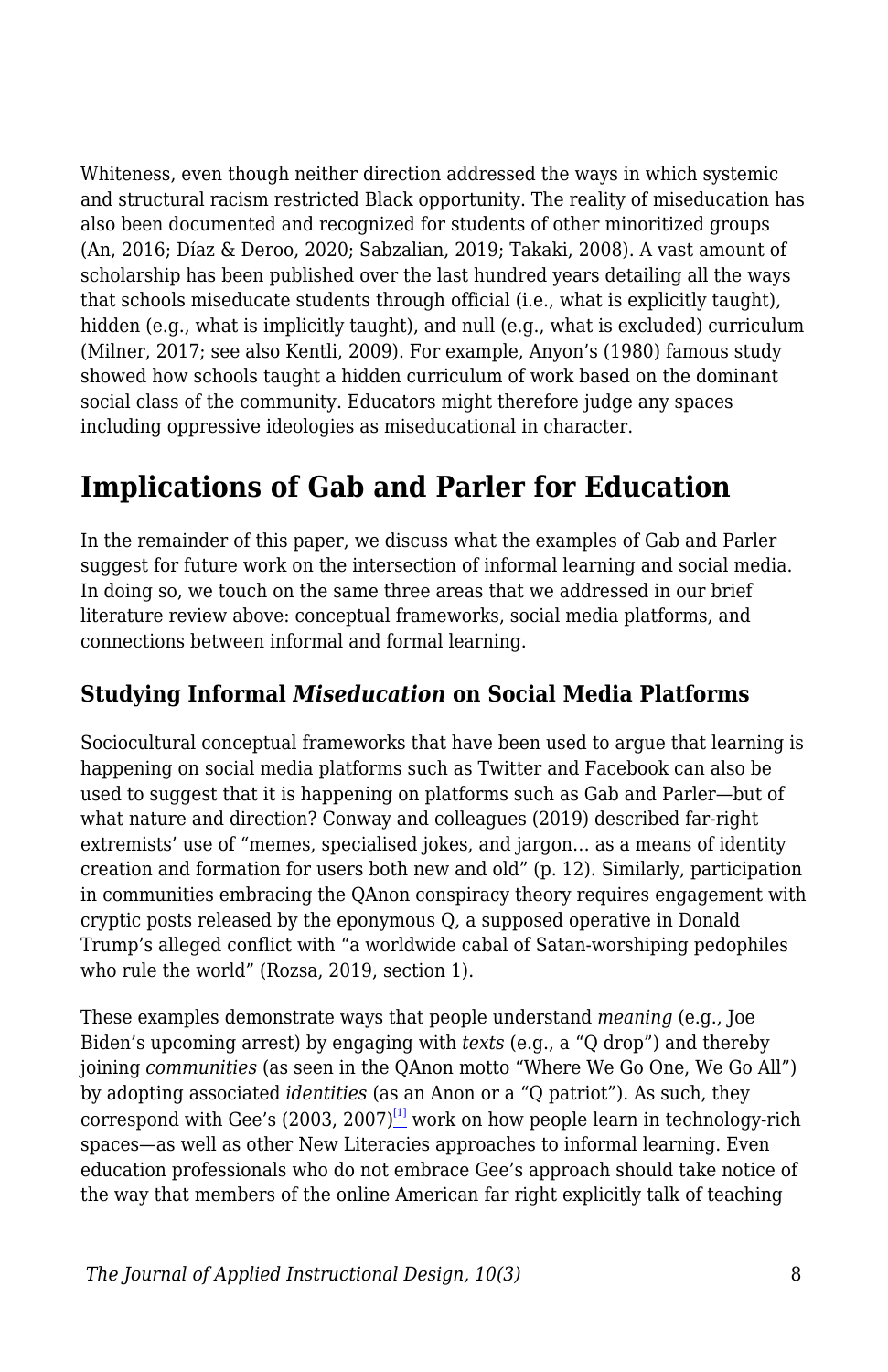Whiteness, even though neither direction addressed the ways in which systemic and structural racism restricted Black opportunity. The reality of miseducation has also been documented and recognized for students of other minoritized groups (An, 2016; Díaz & Deroo, 2020; Sabzalian, 2019; Takaki, 2008). A vast amount of scholarship has been published over the last hundred years detailing all the ways that schools miseducate students through official (i.e., what is explicitly taught), hidden (e.g., what is implicitly taught), and null (e.g., what is excluded) curriculum (Milner, 2017; see also Kentli, 2009). For example, Anyon's (1980) famous study showed how schools taught a hidden curriculum of work based on the dominant social class of the community. Educators might therefore judge any spaces including oppressive ideologies as miseducational in character.

# **Implications of Gab and Parler for Education**

In the remainder of this paper, we discuss what the examples of Gab and Parler suggest for future work on the intersection of informal learning and social media. In doing so, we touch on the same three areas that we addressed in our brief literature review above: conceptual frameworks, social media platforms, and connections between informal and formal learning.

### **Studying Informal** *Miseducation* **on Social Media Platforms**

Sociocultural conceptual frameworks that have been used to argue that learning is happening on social media platforms such as Twitter and Facebook can also be used to suggest that it is happening on platforms such as Gab and Parler—but of what nature and direction? Conway and colleagues (2019) described far-right extremists' use of "memes, specialised jokes, and jargon… as a means of identity creation and formation for users both new and old" (p. 12). Similarly, participation in communities embracing the QAnon conspiracy theory requires engagement with cryptic posts released by the eponymous Q, a supposed operative in Donald Trump's alleged conflict with "a worldwide cabal of Satan-worshiping pedophiles who rule the world" (Rozsa, 2019, section 1).

These examples demonstrate ways that people understand *meaning* (e.g., Joe Biden's upcoming arrest) by engaging with *texts* (e.g., a "Q drop") and thereby joining *communities* (as seen in the QAnon motto "Where We Go One, We Go All") by adopting associated *identities* (as an Anon or a "Q patriot"). As such, they correspond with Gee's (2003, 2007)<sup>[\[1\]](#page--1-0)</sup> work on how people learn in technology-rich spaces—as well as other New Literacies approaches to informal learning. Even education professionals who do not embrace Gee's approach should take notice of the way that members of the online American far right explicitly talk of teaching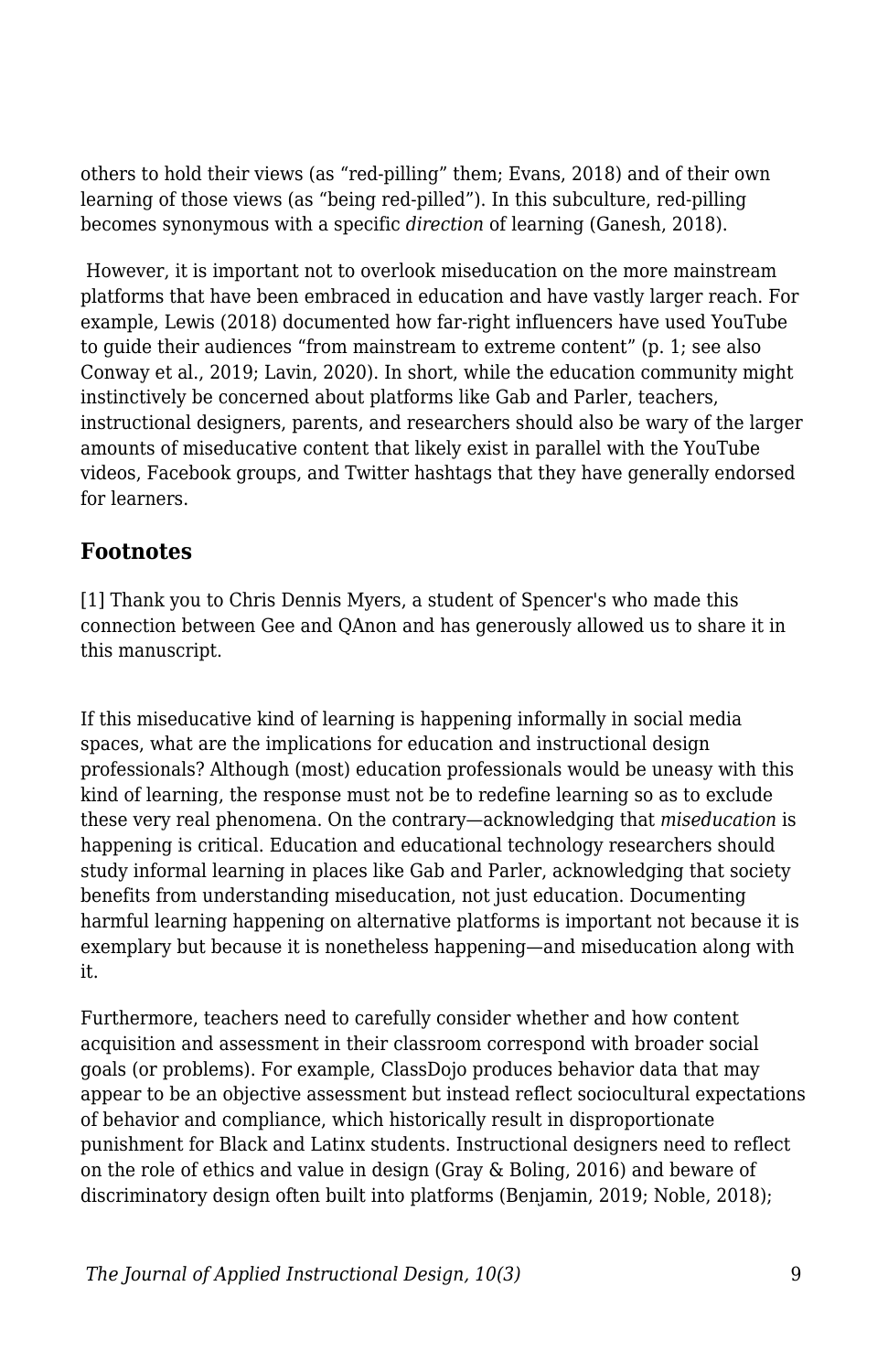others to hold their views (as "red-pilling" them; Evans, 2018) and of their own learning of those views (as "being red-pilled"). In this subculture, red-pilling becomes synonymous with a specific *direction* of learning (Ganesh, 2018).

 However, it is important not to overlook miseducation on the more mainstream platforms that have been embraced in education and have vastly larger reach. For example, Lewis (2018) documented how far-right influencers have used YouTube to guide their audiences "from mainstream to extreme content" (p. 1; see also Conway et al., 2019; Lavin, 2020). In short, while the education community might instinctively be concerned about platforms like Gab and Parler, teachers, instructional designers, parents, and researchers should also be wary of the larger amounts of miseducative content that likely exist in parallel with the YouTube videos, Facebook groups, and Twitter hashtags that they have generally endorsed for learners.

#### **Footnotes**

[1] Thank you to Chris Dennis Myers, a student of Spencer's who made this connection between Gee and QAnon and has generously allowed us to share it in this manuscript.

If this miseducative kind of learning is happening informally in social media spaces, what are the implications for education and instructional design professionals? Although (most) education professionals would be uneasy with this kind of learning, the response must not be to redefine learning so as to exclude these very real phenomena. On the contrary—acknowledging that *miseducation* is happening is critical. Education and educational technology researchers should study informal learning in places like Gab and Parler, acknowledging that society benefits from understanding miseducation, not just education. Documenting harmful learning happening on alternative platforms is important not because it is exemplary but because it is nonetheless happening—and miseducation along with it.

Furthermore, teachers need to carefully consider whether and how content acquisition and assessment in their classroom correspond with broader social goals (or problems). For example, ClassDojo produces behavior data that may appear to be an objective assessment but instead reflect sociocultural expectations of behavior and compliance, which historically result in disproportionate punishment for Black and Latinx students. Instructional designers need to reflect on the role of ethics and value in design (Gray & Boling, 2016) and beware of discriminatory design often built into platforms (Benjamin, 2019; Noble, 2018);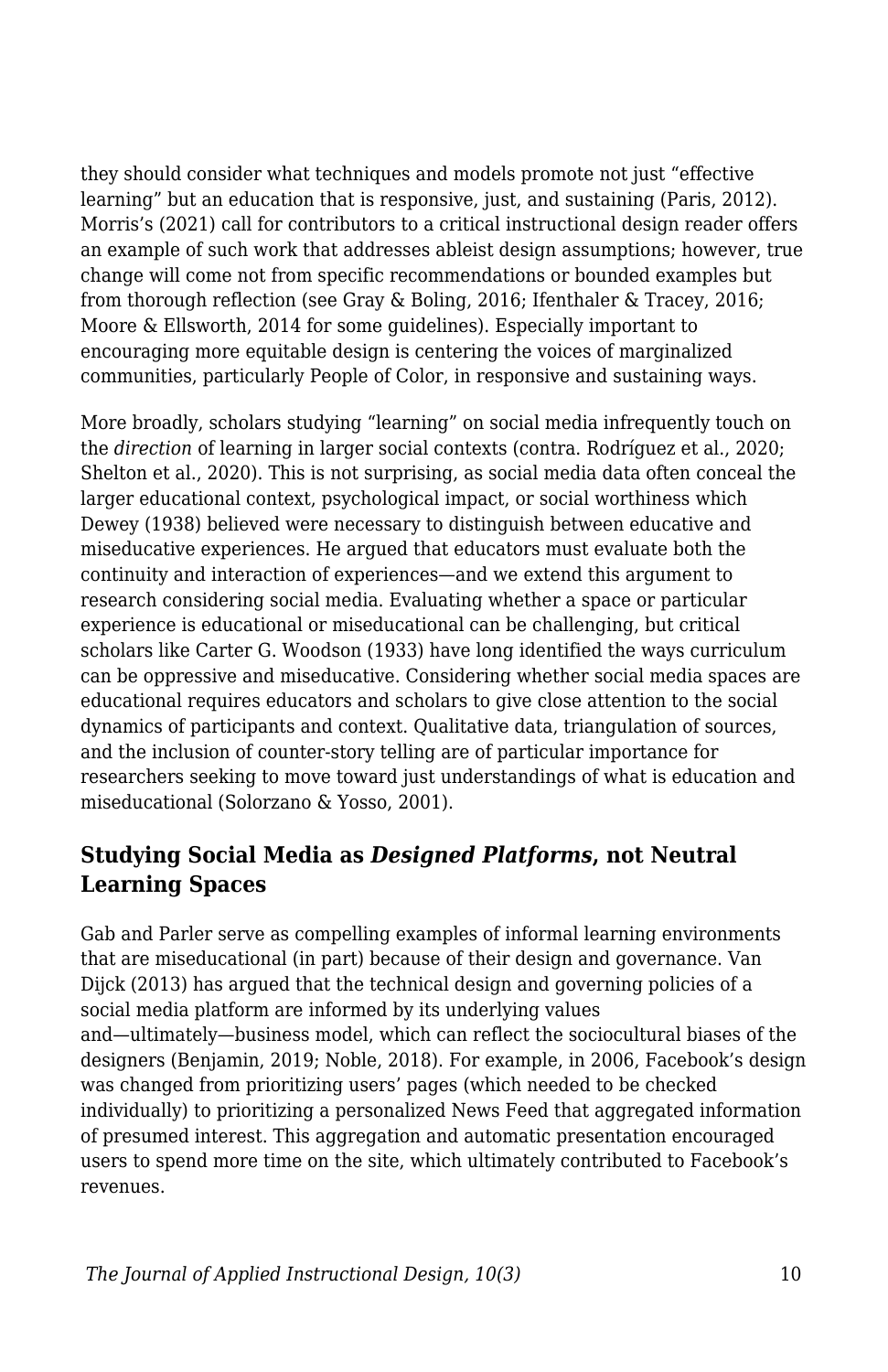they should consider what techniques and models promote not just "effective learning" but an education that is responsive, just, and sustaining (Paris, 2012). Morris's (2021) call for contributors to a critical instructional design reader offers an example of such work that addresses ableist design assumptions; however, true change will come not from specific recommendations or bounded examples but from thorough reflection (see Gray & Boling, 2016; Ifenthaler & Tracey, 2016; Moore & Ellsworth, 2014 for some guidelines). Especially important to encouraging more equitable design is centering the voices of marginalized communities, particularly People of Color, in responsive and sustaining ways.

More broadly, scholars studying "learning" on social media infrequently touch on the *direction* of learning in larger social contexts (contra. Rodríguez et al., 2020; Shelton et al., 2020). This is not surprising, as social media data often conceal the larger educational context, psychological impact, or social worthiness which Dewey (1938) believed were necessary to distinguish between educative and miseducative experiences. He argued that educators must evaluate both the continuity and interaction of experiences—and we extend this argument to research considering social media. Evaluating whether a space or particular experience is educational or miseducational can be challenging, but critical scholars like Carter G. Woodson (1933) have long identified the ways curriculum can be oppressive and miseducative. Considering whether social media spaces are educational requires educators and scholars to give close attention to the social dynamics of participants and context. Qualitative data, triangulation of sources, and the inclusion of counter-story telling are of particular importance for researchers seeking to move toward just understandings of what is education and miseducational (Solorzano & Yosso, 2001).

### **Studying Social Media as** *Designed Platforms***, not Neutral Learning Spaces**

Gab and Parler serve as compelling examples of informal learning environments that are miseducational (in part) because of their design and governance. Van Dijck (2013) has argued that the technical design and governing policies of a social media platform are informed by its underlying values and—ultimately—business model, which can reflect the sociocultural biases of the designers (Benjamin, 2019; Noble, 2018). For example, in 2006, Facebook's design was changed from prioritizing users' pages (which needed to be checked individually) to prioritizing a personalized News Feed that aggregated information of presumed interest. This aggregation and automatic presentation encouraged users to spend more time on the site, which ultimately contributed to Facebook's revenues.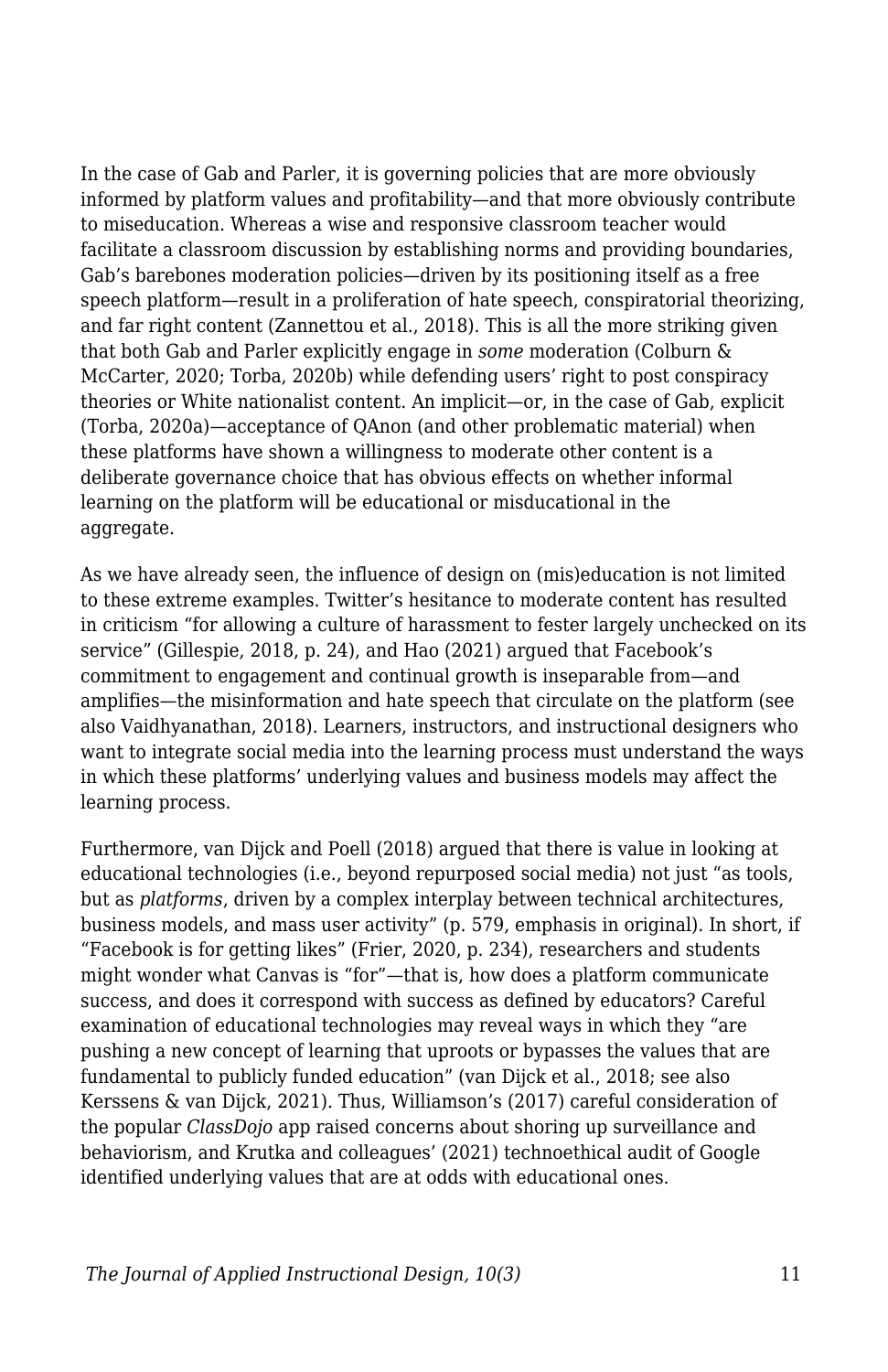In the case of Gab and Parler, it is governing policies that are more obviously informed by platform values and profitability—and that more obviously contribute to miseducation. Whereas a wise and responsive classroom teacher would facilitate a classroom discussion by establishing norms and providing boundaries, Gab's barebones moderation policies—driven by its positioning itself as a free speech platform—result in a proliferation of hate speech, conspiratorial theorizing, and far right content (Zannettou et al., 2018). This is all the more striking given that both Gab and Parler explicitly engage in *some* moderation (Colburn & McCarter, 2020; Torba, 2020b) while defending users' right to post conspiracy theories or White nationalist content. An implicit—or, in the case of Gab, explicit (Torba, 2020a)—acceptance of QAnon (and other problematic material) when these platforms have shown a willingness to moderate other content is a deliberate governance choice that has obvious effects on whether informal learning on the platform will be educational or misducational in the aggregate.

As we have already seen, the influence of design on (mis)education is not limited to these extreme examples. Twitter's hesitance to moderate content has resulted in criticism "for allowing a culture of harassment to fester largely unchecked on its service" (Gillespie, 2018, p. 24), and Hao (2021) argued that Facebook's commitment to engagement and continual growth is inseparable from—and amplifies—the misinformation and hate speech that circulate on the platform (see also Vaidhyanathan, 2018). Learners, instructors, and instructional designers who want to integrate social media into the learning process must understand the ways in which these platforms' underlying values and business models may affect the learning process.

Furthermore, van Dijck and Poell (2018) argued that there is value in looking at educational technologies (i.e., beyond repurposed social media) not just "as tools, but as *platforms*, driven by a complex interplay between technical architectures, business models, and mass user activity" (p. 579, emphasis in original). In short, if "Facebook is for getting likes" (Frier, 2020, p. 234), researchers and students might wonder what Canvas is "for"—that is, how does a platform communicate success, and does it correspond with success as defined by educators? Careful examination of educational technologies may reveal ways in which they "are pushing a new concept of learning that uproots or bypasses the values that are fundamental to publicly funded education" (van Dijck et al., 2018; see also Kerssens & van Dijck, 2021). Thus, Williamson's (2017) careful consideration of the popular *ClassDojo* app raised concerns about shoring up surveillance and behaviorism, and Krutka and colleagues' (2021) technoethical audit of Google identified underlying values that are at odds with educational ones.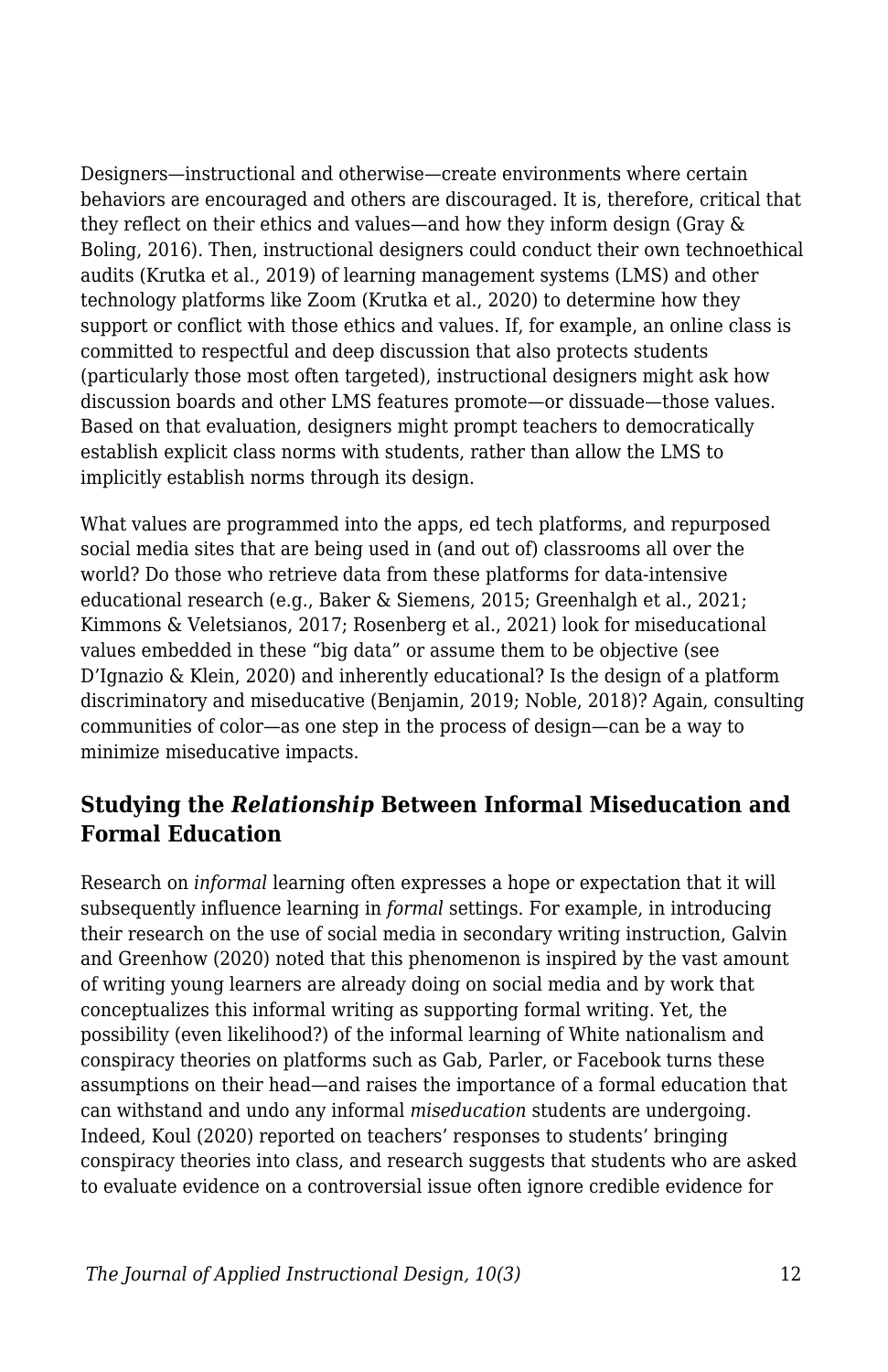Designers—instructional and otherwise—create environments where certain behaviors are encouraged and others are discouraged. It is, therefore, critical that they reflect on their ethics and values—and how they inform design (Gray & Boling, 2016). Then, instructional designers could conduct their own technoethical audits (Krutka et al., 2019) of learning management systems (LMS) and other technology platforms like Zoom (Krutka et al., 2020) to determine how they support or conflict with those ethics and values. If, for example, an online class is committed to respectful and deep discussion that also protects students (particularly those most often targeted), instructional designers might ask how discussion boards and other LMS features promote—or dissuade—those values. Based on that evaluation, designers might prompt teachers to democratically establish explicit class norms with students, rather than allow the LMS to implicitly establish norms through its design.

What values are programmed into the apps, ed tech platforms, and repurposed social media sites that are being used in (and out of) classrooms all over the world? Do those who retrieve data from these platforms for data-intensive educational research (e.g., Baker & Siemens, 2015; Greenhalgh et al., 2021; Kimmons & Veletsianos, 2017; Rosenberg et al., 2021) look for miseducational values embedded in these "big data" or assume them to be objective (see D'Ignazio & Klein, 2020) and inherently educational? Is the design of a platform discriminatory and miseducative (Benjamin, 2019; Noble, 2018)? Again, consulting communities of color—as one step in the process of design—can be a way to minimize miseducative impacts.

#### **Studying the** *Relationship* **Between Informal Miseducation and Formal Education**

Research on *informal* learning often expresses a hope or expectation that it will subsequently influence learning in *formal* settings. For example, in introducing their research on the use of social media in secondary writing instruction, Galvin and Greenhow (2020) noted that this phenomenon is inspired by the vast amount of writing young learners are already doing on social media and by work that conceptualizes this informal writing as supporting formal writing. Yet, the possibility (even likelihood?) of the informal learning of White nationalism and conspiracy theories on platforms such as Gab, Parler, or Facebook turns these assumptions on their head—and raises the importance of a formal education that can withstand and undo any informal *miseducation* students are undergoing. Indeed, Koul (2020) reported on teachers' responses to students' bringing conspiracy theories into class, and research suggests that students who are asked to evaluate evidence on a controversial issue often ignore credible evidence for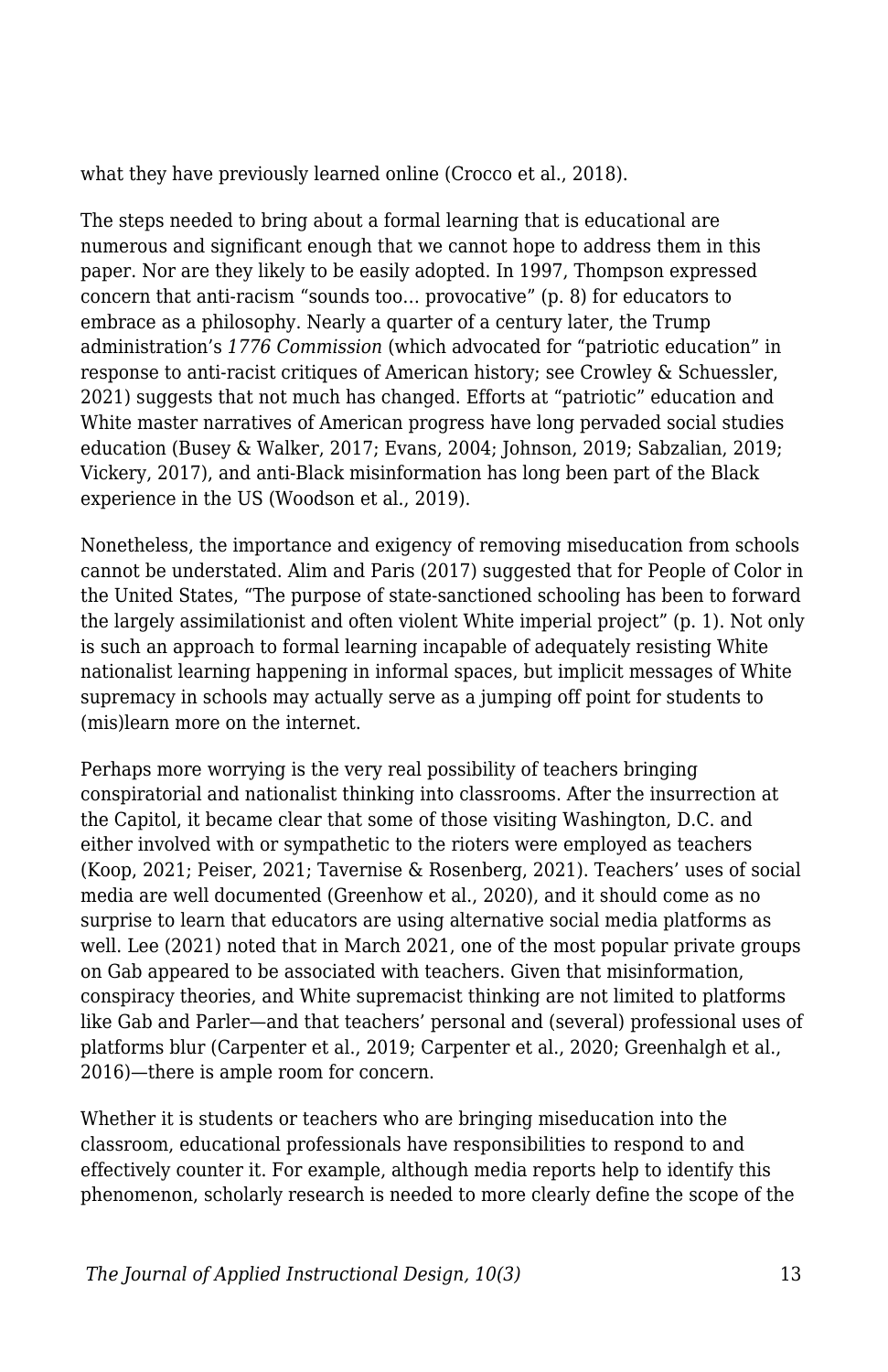what they have previously learned online (Crocco et al., 2018).

The steps needed to bring about a formal learning that is educational are numerous and significant enough that we cannot hope to address them in this paper. Nor are they likely to be easily adopted. In 1997, Thompson expressed concern that anti-racism "sounds too… provocative" (p. 8) for educators to embrace as a philosophy. Nearly a quarter of a century later, the Trump administration's *1776 Commission* (which advocated for "patriotic education" in response to anti-racist critiques of American history; see Crowley & Schuessler, 2021) suggests that not much has changed. Efforts at "patriotic" education and White master narratives of American progress have long pervaded social studies education (Busey & Walker, 2017; Evans, 2004; Johnson, 2019; Sabzalian, 2019; Vickery, 2017), and anti-Black misinformation has long been part of the Black experience in the US (Woodson et al., 2019).

Nonetheless, the importance and exigency of removing miseducation from schools cannot be understated. Alim and Paris (2017) suggested that for People of Color in the United States, "The purpose of state-sanctioned schooling has been to forward the largely assimilationist and often violent White imperial project" (p. 1). Not only is such an approach to formal learning incapable of adequately resisting White nationalist learning happening in informal spaces, but implicit messages of White supremacy in schools may actually serve as a jumping off point for students to (mis)learn more on the internet.

Perhaps more worrying is the very real possibility of teachers bringing conspiratorial and nationalist thinking into classrooms. After the insurrection at the Capitol, it became clear that some of those visiting Washington, D.C. and either involved with or sympathetic to the rioters were employed as teachers (Koop, 2021; Peiser, 2021; Tavernise & Rosenberg, 2021). Teachers' uses of social media are well documented (Greenhow et al., 2020), and it should come as no surprise to learn that educators are using alternative social media platforms as well. Lee (2021) noted that in March 2021, one of the most popular private groups on Gab appeared to be associated with teachers. Given that misinformation, conspiracy theories, and White supremacist thinking are not limited to platforms like Gab and Parler—and that teachers' personal and (several) professional uses of platforms blur (Carpenter et al., 2019; Carpenter et al., 2020; Greenhalgh et al., 2016)—there is ample room for concern.

Whether it is students or teachers who are bringing miseducation into the classroom, educational professionals have responsibilities to respond to and effectively counter it. For example, although media reports help to identify this phenomenon, scholarly research is needed to more clearly define the scope of the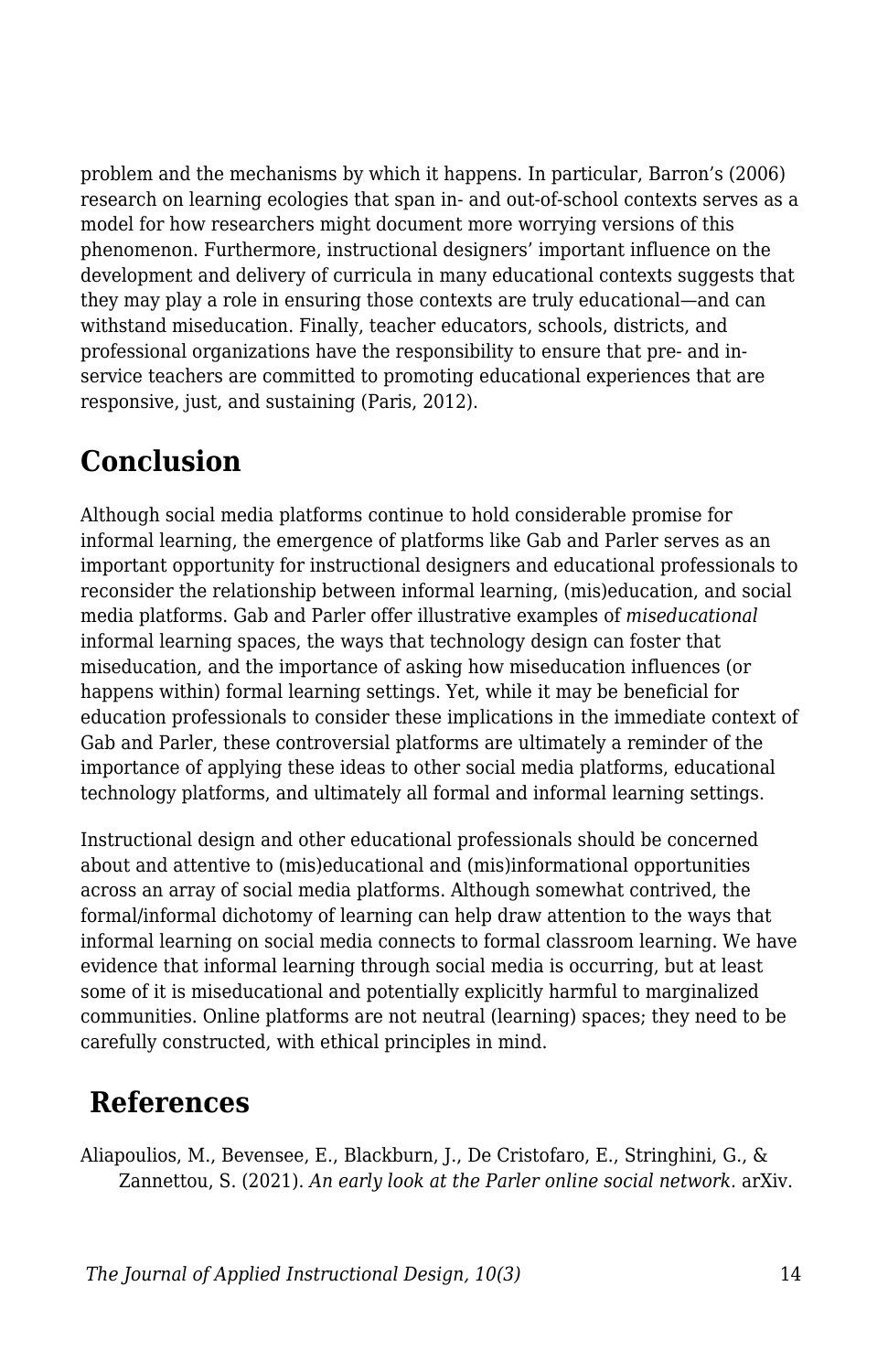problem and the mechanisms by which it happens. In particular, Barron's (2006) research on learning ecologies that span in- and out-of-school contexts serves as a model for how researchers might document more worrying versions of this phenomenon. Furthermore, instructional designers' important influence on the development and delivery of curricula in many educational contexts suggests that they may play a role in ensuring those contexts are truly educational—and can withstand miseducation. Finally, teacher educators, schools, districts, and professional organizations have the responsibility to ensure that pre- and inservice teachers are committed to promoting educational experiences that are responsive, just, and sustaining (Paris, 2012).

### **Conclusion**

Although social media platforms continue to hold considerable promise for informal learning, the emergence of platforms like Gab and Parler serves as an important opportunity for instructional designers and educational professionals to reconsider the relationship between informal learning, (mis)education, and social media platforms. Gab and Parler offer illustrative examples of *miseducational* informal learning spaces, the ways that technology design can foster that miseducation, and the importance of asking how miseducation influences (or happens within) formal learning settings. Yet, while it may be beneficial for education professionals to consider these implications in the immediate context of Gab and Parler, these controversial platforms are ultimately a reminder of the importance of applying these ideas to other social media platforms, educational technology platforms, and ultimately all formal and informal learning settings.

Instructional design and other educational professionals should be concerned about and attentive to (mis)educational and (mis)informational opportunities across an array of social media platforms. Although somewhat contrived, the formal/informal dichotomy of learning can help draw attention to the ways that informal learning on social media connects to formal classroom learning. We have evidence that informal learning through social media is occurring, but at least some of it is miseducational and potentially explicitly harmful to marginalized communities. Online platforms are not neutral (learning) spaces; they need to be carefully constructed, with ethical principles in mind.

### **References**

Aliapoulios, M., Bevensee, E., Blackburn, J., De Cristofaro, E., Stringhini, G., & Zannettou, S. (2021). *An early look at the Parler online social network*. arXiv.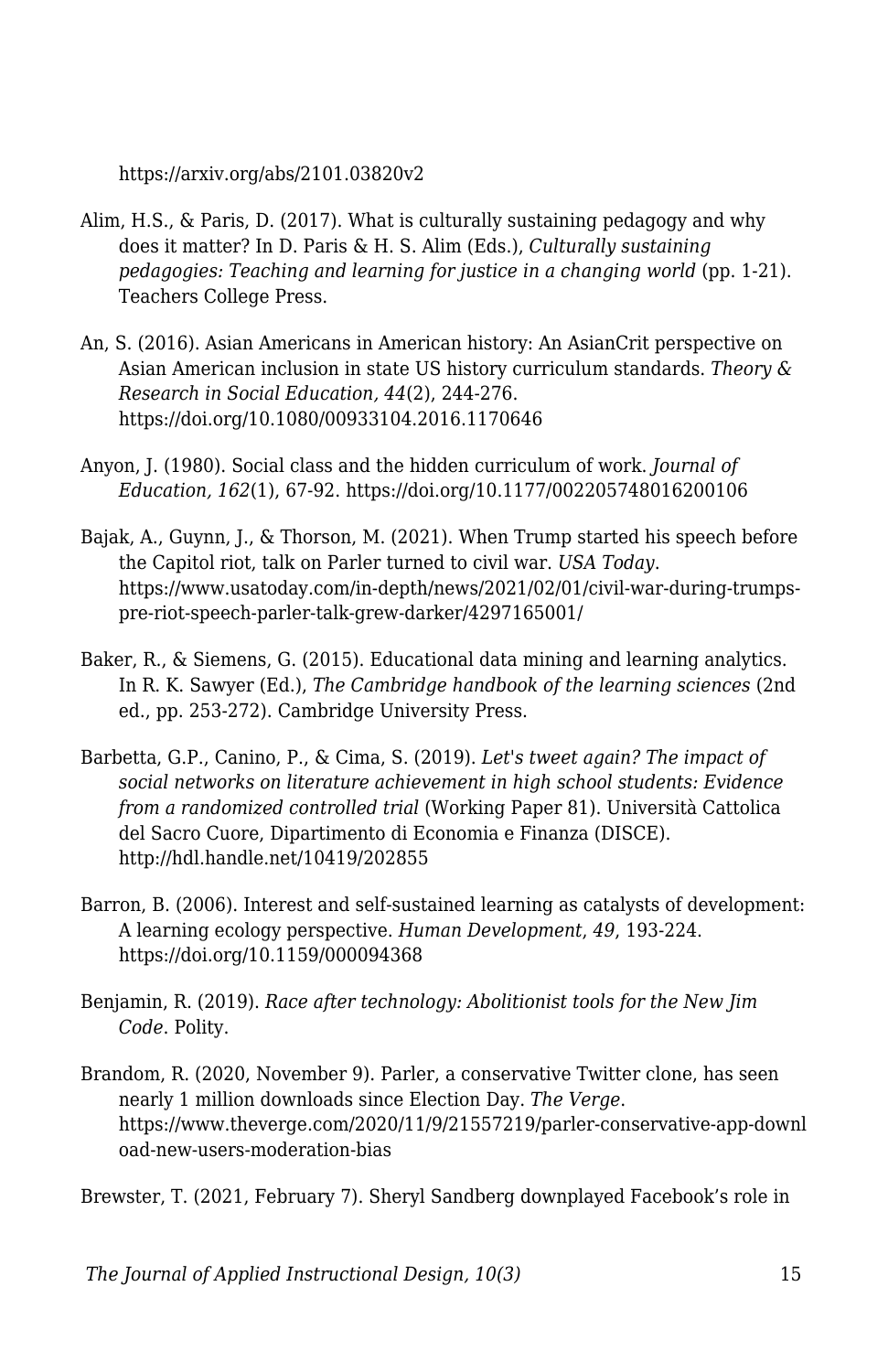https://arxiv.org/abs/2101.03820v2

- Alim, H.S., & Paris, D. (2017). What is culturally sustaining pedagogy and why does it matter? In D. Paris & H. S. Alim (Eds.), *Culturally sustaining pedagogies: Teaching and learning for justice in a changing world* (pp. 1-21). Teachers College Press.
- An, S. (2016). Asian Americans in American history: An AsianCrit perspective on Asian American inclusion in state US history curriculum standards. *Theory & Research in Social Education, 44*(2), 244-276. https://doi.org/10.1080/00933104.2016.1170646
- Anyon, J. (1980). Social class and the hidden curriculum of work. *Journal of Education, 162*(1), 67-92. https://doi.org/10.1177/002205748016200106
- Bajak, A., Guynn, J., & Thorson, M. (2021). When Trump started his speech before the Capitol riot, talk on Parler turned to civil war. *USA Today*. https://www.usatoday.com/in-depth/news/2021/02/01/civil-war-during-trumpspre-riot-speech-parler-talk-grew-darker/4297165001/
- Baker, R., & Siemens, G. (2015). Educational data mining and learning analytics. In R. K. Sawyer (Ed.), *The Cambridge handbook of the learning sciences* (2nd ed., pp. 253-272). Cambridge University Press.
- Barbetta, G.P., Canino, P., & Cima, S. (2019). *Let's tweet again? The impact of social networks on literature achievement in high school students: Evidence from a randomized controlled trial* (Working Paper 81). Università Cattolica del Sacro Cuore, Dipartimento di Economia e Finanza (DISCE). http://hdl.handle.net/10419/202855
- Barron, B. (2006). Interest and self-sustained learning as catalysts of development: A learning ecology perspective. *Human Development*, *49*, 193-224. https://doi.org/10.1159/000094368
- Benjamin, R. (2019). *Race after technology: Abolitionist tools for the New Jim Code*. Polity.
- Brandom, R. (2020, November 9). Parler, a conservative Twitter clone, has seen nearly 1 million downloads since Election Day. *The Verge*. https://www.theverge.com/2020/11/9/21557219/parler-conservative-app-downl oad-new-users-moderation-bias

Brewster, T. (2021, February 7). Sheryl Sandberg downplayed Facebook's role in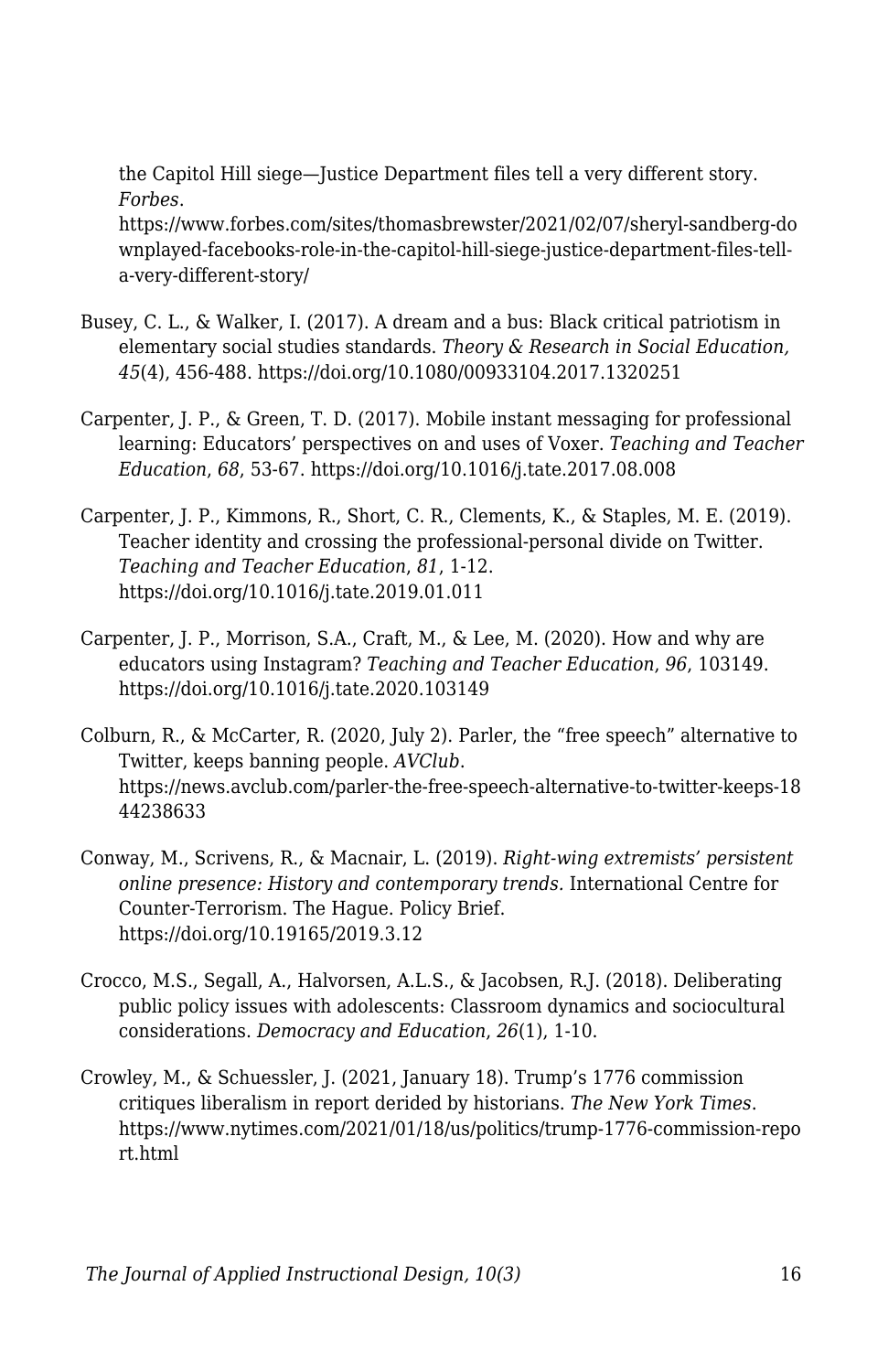the Capitol Hill siege—Justice Department files tell a very different story. *Forbes*.

https://www.forbes.com/sites/thomasbrewster/2021/02/07/sheryl-sandberg-do wnplayed-facebooks-role-in-the-capitol-hill-siege-justice-department-files-tella-very-different-story/

- Busey, C. L., & Walker, I. (2017). A dream and a bus: Black critical patriotism in elementary social studies standards. *Theory & Research in Social Education, 45*(4), 456-488. https://doi.org/10.1080/00933104.2017.1320251
- Carpenter, J. P., & Green, T. D. (2017). Mobile instant messaging for professional learning: Educators' perspectives on and uses of Voxer. *Teaching and Teacher Education*, *68*, 53-67. https://doi.org/10.1016/j.tate.2017.08.008
- Carpenter, J. P., Kimmons, R., Short, C. R., Clements, K., & Staples, M. E. (2019). Teacher identity and crossing the professional-personal divide on Twitter. *Teaching and Teacher Education*, *81*, 1-12. https://doi.org/10.1016/j.tate.2019.01.011
- Carpenter, J. P., Morrison, S.A., Craft, M., & Lee, M. (2020). How and why are educators using Instagram? *Teaching and Teacher Education*, *96*, 103149. https://doi.org/10.1016/j.tate.2020.103149
- Colburn, R., & McCarter, R. (2020, July 2). Parler, the "free speech" alternative to Twitter, keeps banning people. *AVClub*. https://news.avclub.com/parler-the-free-speech-alternative-to-twitter-keeps-18 44238633
- Conway, M., Scrivens, R., & Macnair, L. (2019). *Right-wing extremists' persistent online presence: History and contemporary trends.* International Centre for Counter-Terrorism. The Hague. Policy Brief. https://doi.org/10.19165/2019.3.12
- Crocco, M.S., Segall, A., Halvorsen, A.L.S., & Jacobsen, R.J. (2018). Deliberating public policy issues with adolescents: Classroom dynamics and sociocultural considerations. *Democracy and Education*, *26*(1), 1-10.
- Crowley, M., & Schuessler, J. (2021, January 18). Trump's 1776 commission critiques liberalism in report derided by historians. *The New York Times*. https://www.nytimes.com/2021/01/18/us/politics/trump-1776-commission-repo rt.html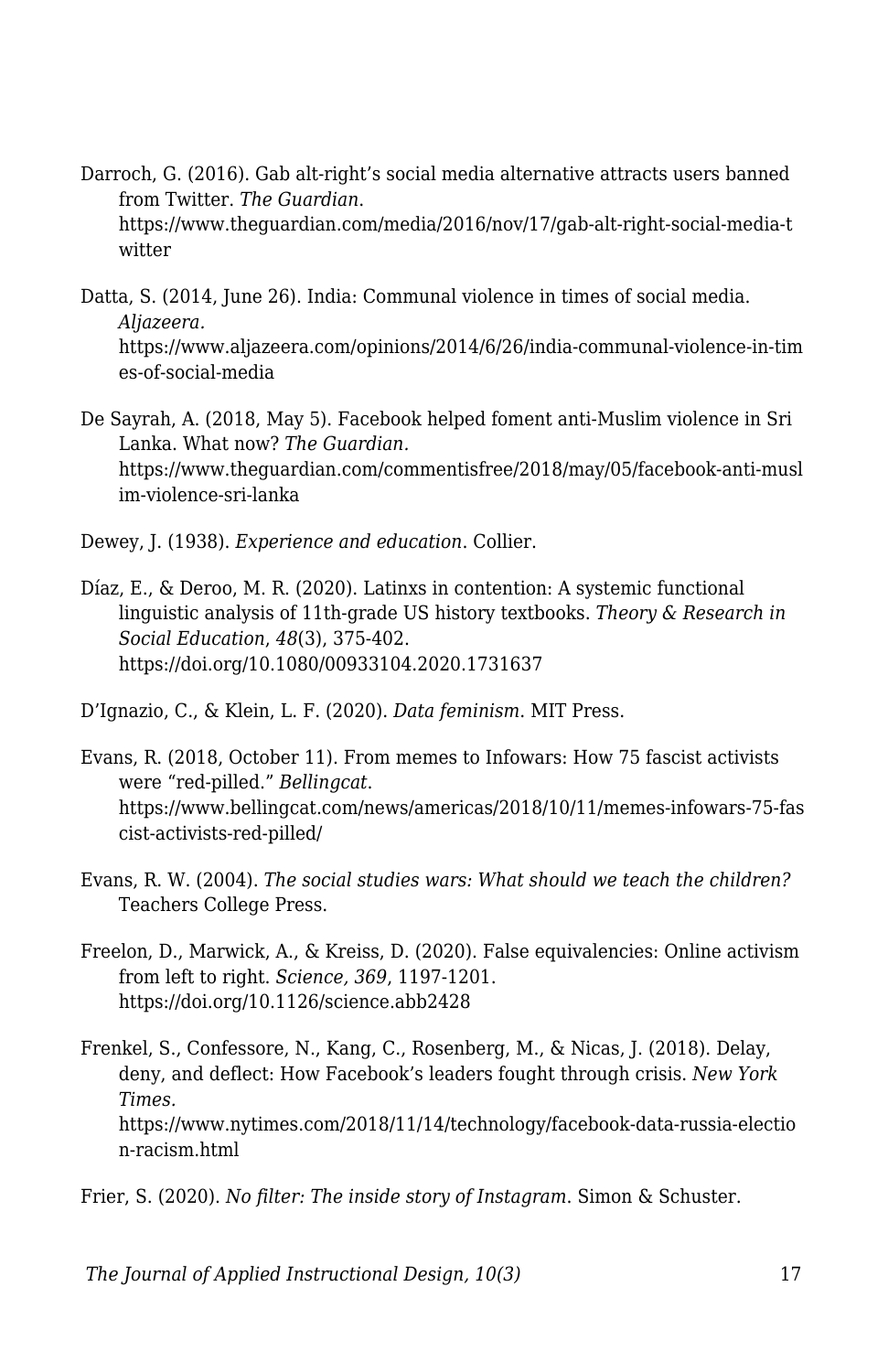- Darroch, G. (2016). Gab alt-right's social media alternative attracts users banned from Twitter. *The Guardian*. https://www.theguardian.com/media/2016/nov/17/gab-alt-right-social-media-t witter
- Datta, S. (2014, June 26). India: Communal violence in times of social media. *Aljazeera.* https://www.aljazeera.com/opinions/2014/6/26/india-communal-violence-in-tim es-of-social-media
- De Sayrah, A. (2018, May 5). Facebook helped foment anti-Muslim violence in Sri Lanka. What now? *The Guardian.* https://www.theguardian.com/commentisfree/2018/may/05/facebook-anti-musl im-violence-sri-lanka

Dewey, J. (1938). *Experience and education*. Collier.

Díaz, E., & Deroo, M. R. (2020). Latinxs in contention: A systemic functional linguistic analysis of 11th-grade US history textbooks. *Theory & Research in Social Education*, *48*(3), 375-402. https://doi.org/10.1080/00933104.2020.1731637

D'Ignazio, C., & Klein, L. F. (2020). *Data feminism*. MIT Press.

- Evans, R. (2018, October 11). From memes to Infowars: How 75 fascist activists were "red-pilled." *Bellingcat*. https://www.bellingcat.com/news/americas/2018/10/11/memes-infowars-75-fas cist-activists-red-pilled/
- Evans, R. W. (2004). *The social studies wars: What should we teach the children?* Teachers College Press.
- Freelon, D., Marwick, A., & Kreiss, D. (2020). False equivalencies: Online activism from left to right. *Science, 369*, 1197-1201. https://doi.org/10.1126/science.abb2428
- Frenkel, S., Confessore, N., Kang, C., Rosenberg, M., & Nicas, J. (2018). Delay, deny, and deflect: How Facebook's leaders fought through crisis. *New York Times.* https://www.nytimes.com/2018/11/14/technology/facebook-data-russia-electio n-racism.html

Frier, S. (2020). *No filter: The inside story of Instagram*. Simon & Schuster.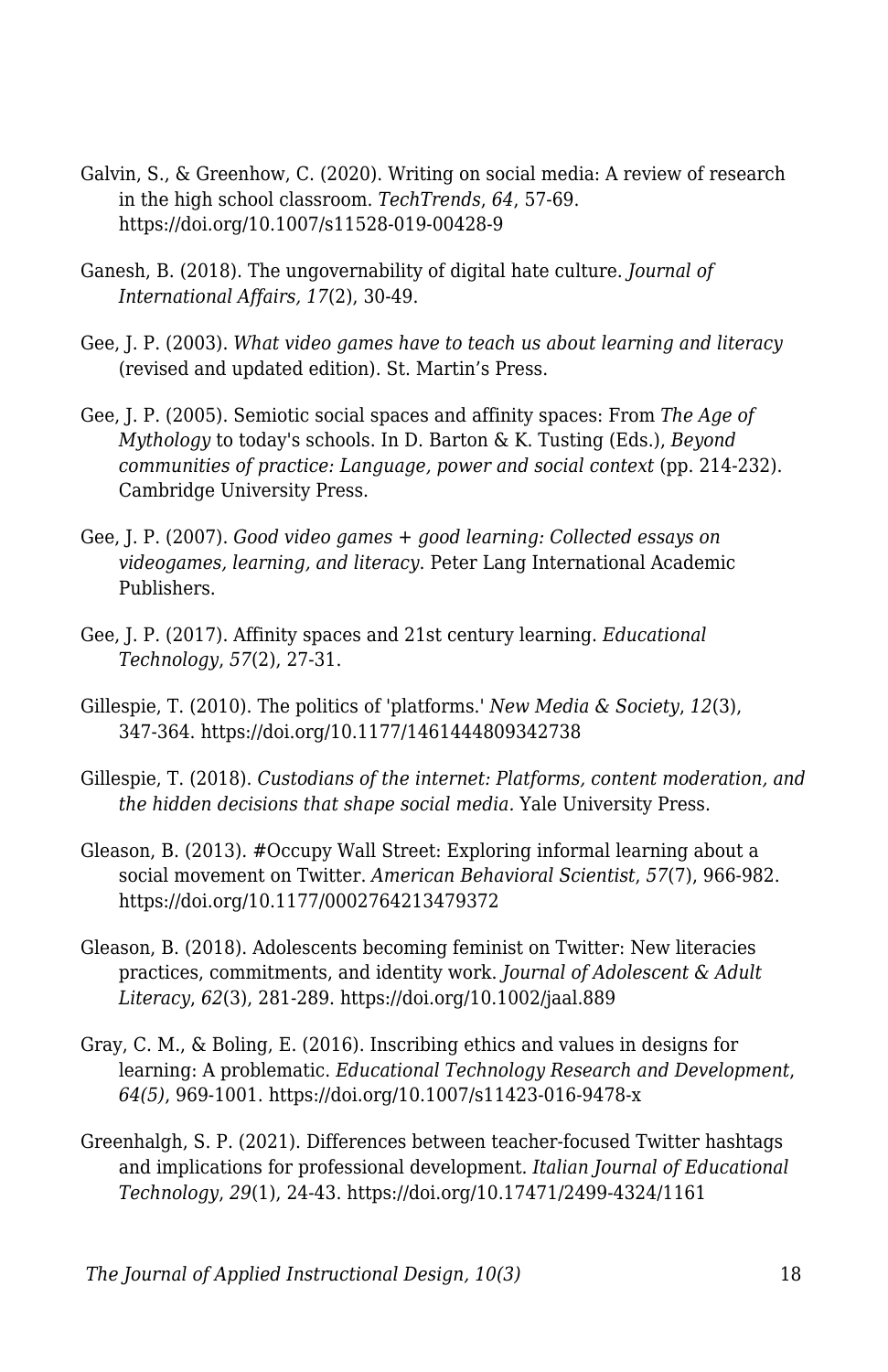- Galvin, S., & Greenhow, C. (2020). Writing on social media: A review of research in the high school classroom. *TechTrends*, *64*, 57-69. https://doi.org/10.1007/s11528-019-00428-9
- Ganesh, B. (2018). The ungovernability of digital hate culture. *Journal of International Affairs, 17*(2), 30-49.
- Gee, J. P. (2003). *What video games have to teach us about learning and literacy* (revised and updated edition). St. Martin's Press.
- Gee, J. P. (2005). Semiotic social spaces and affinity spaces: From *The Age of Mythology* to today's schools. In D. Barton & K. Tusting (Eds.), *Beyond communities of practice: Language, power and social context* (pp. 214-232). Cambridge University Press.
- Gee, J. P. (2007). *Good video games + good learning: Collected essays on videogames, learning, and literacy*. Peter Lang International Academic Publishers.
- Gee, J. P. (2017). Affinity spaces and 21st century learning. *Educational Technology*, *57*(2), 27-31.
- Gillespie, T. (2010). The politics of 'platforms.' *New Media & Society*, *12*(3), 347-364. https://doi.org/10.1177/1461444809342738
- Gillespie, T. (2018). *Custodians of the internet: Platforms, content moderation, and the hidden decisions that shape social media.* Yale University Press.
- Gleason, B. (2013). #Occupy Wall Street: Exploring informal learning about a social movement on Twitter. *American Behavioral Scientist*, *57*(7), 966-982. https://doi.org/10.1177/0002764213479372
- Gleason, B. (2018). Adolescents becoming feminist on Twitter: New literacies practices, commitments, and identity work. *Journal of Adolescent & Adult Literacy*, *62*(3), 281-289. https://doi.org/10.1002/jaal.889
- Gray, C. M., & Boling, E. (2016). Inscribing ethics and values in designs for learning: A problematic. *Educational Technology Research and Development*, *64(5)*, 969-1001. https://doi.org/10.1007/s11423-016-9478-x
- Greenhalgh, S. P. (2021). Differences between teacher-focused Twitter hashtags and implications for professional development. *Italian Journal of Educational Technology*, *29*(1), 24-43. https://doi.org/10.17471/2499-4324/1161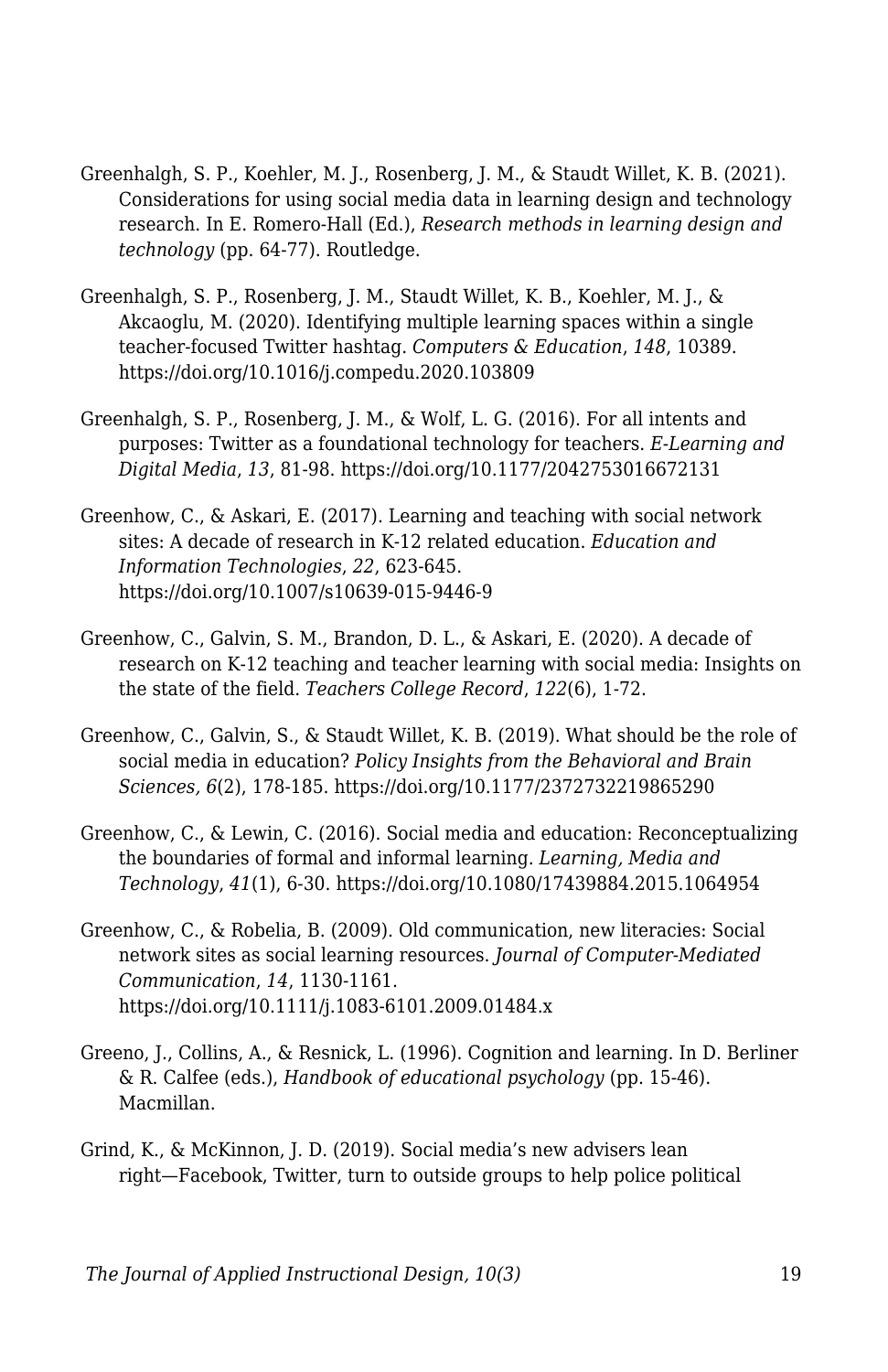- Greenhalgh, S. P., Koehler, M. J., Rosenberg, J. M., & Staudt Willet, K. B. (2021). Considerations for using social media data in learning design and technology research. In E. Romero-Hall (Ed.), *Research methods in learning design and technology* (pp. 64-77). Routledge.
- Greenhalgh, S. P., Rosenberg, J. M., Staudt Willet, K. B., Koehler, M. J., & Akcaoglu, M. (2020). Identifying multiple learning spaces within a single teacher-focused Twitter hashtag. *Computers & Education*, *148*, 10389. https://doi.org/10.1016/j.compedu.2020.103809
- Greenhalgh, S. P., Rosenberg, J. M., & Wolf, L. G. (2016). For all intents and purposes: Twitter as a foundational technology for teachers. *E-Learning and Digital Media*, *13*, 81-98. https://doi.org/10.1177/2042753016672131
- Greenhow, C., & Askari, E. (2017). Learning and teaching with social network sites: A decade of research in K-12 related education. *Education and Information Technologies*, *22*, 623-645. https://doi.org/10.1007/s10639-015-9446-9
- Greenhow, C., Galvin, S. M., Brandon, D. L., & Askari, E. (2020). A decade of research on K-12 teaching and teacher learning with social media: Insights on the state of the field. *Teachers College Record*, *122*(6), 1-72.
- Greenhow, C., Galvin, S., & Staudt Willet, K. B. (2019). What should be the role of social media in education? *Policy Insights from the Behavioral and Brain Sciences, 6*(2), 178-185. https://doi.org/10.1177/2372732219865290
- Greenhow, C., & Lewin, C. (2016). Social media and education: Reconceptualizing the boundaries of formal and informal learning. *Learning, Media and Technology*, *41*(1), 6-30. https://doi.org/10.1080/17439884.2015.1064954
- Greenhow, C., & Robelia, B. (2009). Old communication, new literacies: Social network sites as social learning resources. *Journal of Computer-Mediated Communication*, *14*, 1130-1161. https://doi.org/10.1111/j.1083-6101.2009.01484.x
- Greeno, J., Collins, A., & Resnick, L. (1996). Cognition and learning. In D. Berliner & R. Calfee (eds.), *Handbook of educational psychology* (pp. 15-46). Macmillan.
- Grind, K., & McKinnon, J. D. (2019). Social media's new advisers lean right—Facebook, Twitter, turn to outside groups to help police political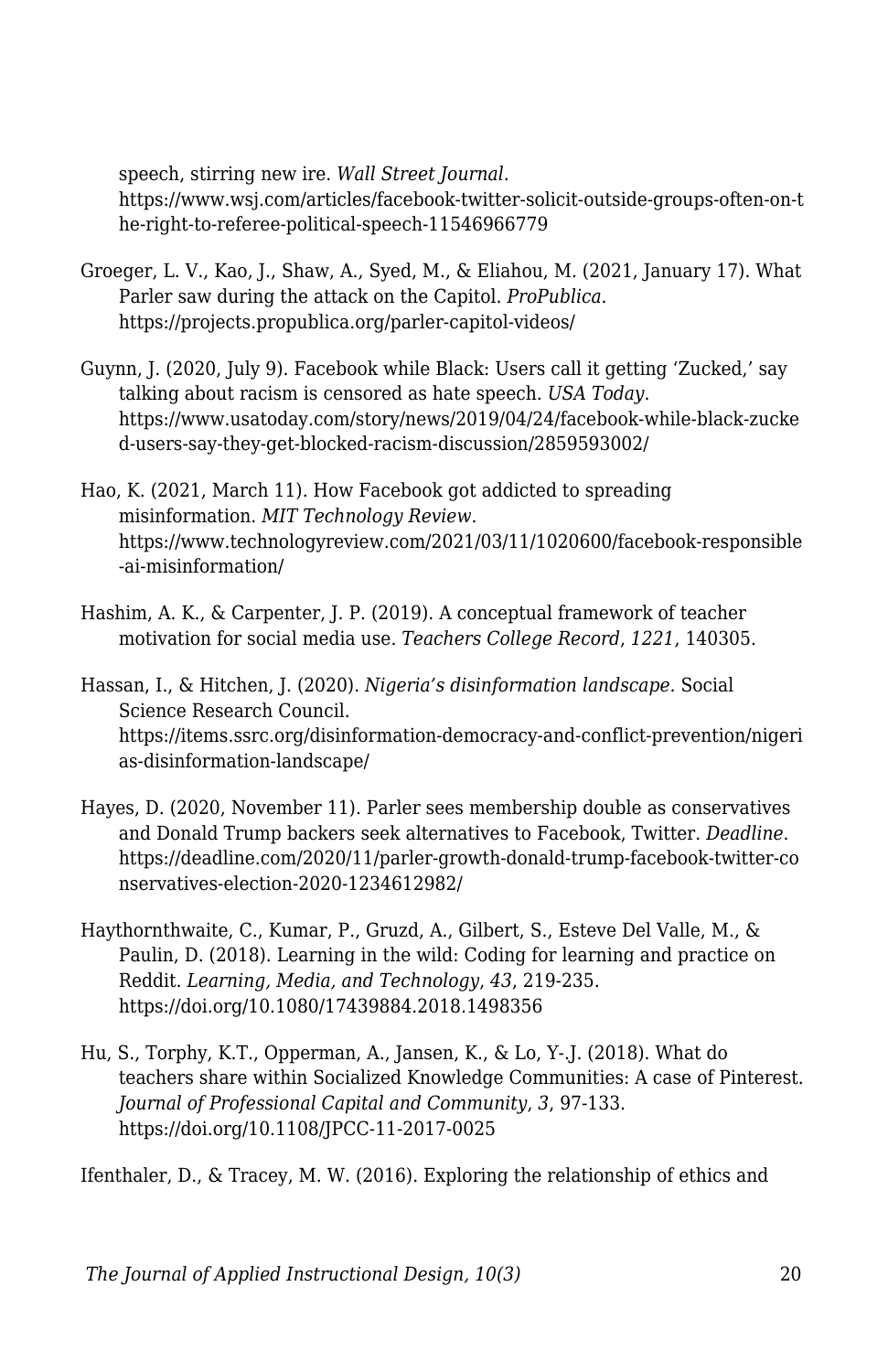speech, stirring new ire. *Wall Street Journal*.

https://www.wsj.com/articles/facebook-twitter-solicit-outside-groups-often-on-t he-right-to-referee-political-speech-11546966779

- Groeger, L. V., Kao, J., Shaw, A., Syed, M., & Eliahou, M. (2021, January 17). What Parler saw during the attack on the Capitol. *ProPublica*. https://projects.propublica.org/parler-capitol-videos/
- Guynn, J. (2020, July 9). Facebook while Black: Users call it getting 'Zucked,' say talking about racism is censored as hate speech. *USA Today*. https://www.usatoday.com/story/news/2019/04/24/facebook-while-black-zucke d-users-say-they-get-blocked-racism-discussion/2859593002/
- Hao, K. (2021, March 11). How Facebook got addicted to spreading misinformation. *MIT Technology Review*. https://www.technologyreview.com/2021/03/11/1020600/facebook-responsible -ai-misinformation/
- Hashim, A. K., & Carpenter, J. P. (2019). A conceptual framework of teacher motivation for social media use. *Teachers College Record*, *1221*, 140305.

Hassan, I., & Hitchen, J. (2020). *Nigeria's disinformation landscape.* Social Science Research Council. https://items.ssrc.org/disinformation-democracy-and-conflict-prevention/nigeri as-disinformation-landscape/

- Hayes, D. (2020, November 11). Parler sees membership double as conservatives and Donald Trump backers seek alternatives to Facebook, Twitter. *Deadline*. https://deadline.com/2020/11/parler-growth-donald-trump-facebook-twitter-co nservatives-election-2020-1234612982/
- Haythornthwaite, C., Kumar, P., Gruzd, A., Gilbert, S., Esteve Del Valle, M., & Paulin, D. (2018). Learning in the wild: Coding for learning and practice on Reddit. *Learning, Media, and Technology*, *43*, 219-235. https://doi.org/10.1080/17439884.2018.1498356
- Hu, S., Torphy, K.T., Opperman, A., Jansen, K., & Lo, Y-.J. (2018). What do teachers share within Socialized Knowledge Communities: A case of Pinterest. *Journal of Professional Capital and Community*, *3*, 97-133. https://doi.org/10.1108/JPCC-11-2017-0025

Ifenthaler, D., & Tracey, M. W. (2016). Exploring the relationship of ethics and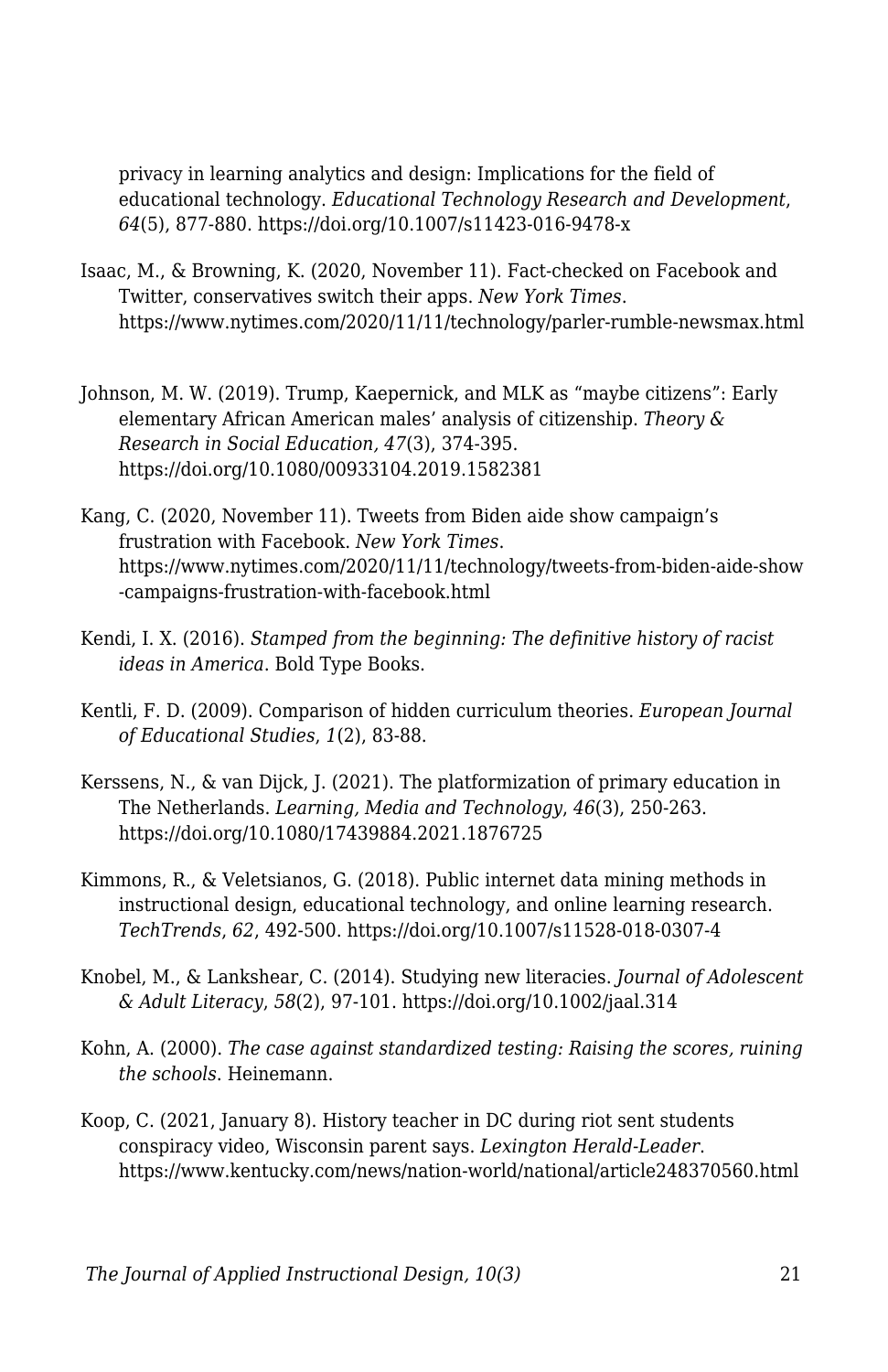privacy in learning analytics and design: Implications for the field of educational technology. *Educational Technology Research and Development*, *64*(5), 877-880. https://doi.org/10.1007/s11423-016-9478-x

- Isaac, M., & Browning, K. (2020, November 11). Fact-checked on Facebook and Twitter, conservatives switch their apps. *New York Times*. https://www.nytimes.com/2020/11/11/technology/parler-rumble-newsmax.html
- Johnson, M. W. (2019). Trump, Kaepernick, and MLK as "maybe citizens": Early elementary African American males' analysis of citizenship. *Theory & Research in Social Education, 47*(3), 374-395. https://doi.org/10.1080/00933104.2019.1582381
- Kang, C. (2020, November 11). Tweets from Biden aide show campaign's frustration with Facebook. *New York Times*. https://www.nytimes.com/2020/11/11/technology/tweets-from-biden-aide-show -campaigns-frustration-with-facebook.html
- Kendi, I. X. (2016). *Stamped from the beginning: The definitive history of racist ideas in America*. Bold Type Books.
- Kentli, F. D. (2009). Comparison of hidden curriculum theories. *European Journal of Educational Studies*, *1*(2), 83-88.
- Kerssens, N., & van Dijck, J. (2021). The platformization of primary education in The Netherlands. *Learning, Media and Technology*, *46*(3), 250-263. https://doi.org/10.1080/17439884.2021.1876725
- Kimmons, R., & Veletsianos, G. (2018). Public internet data mining methods in instructional design, educational technology, and online learning research. *TechTrends*, *62*, 492-500. https://doi.org/10.1007/s11528-018-0307-4
- Knobel, M., & Lankshear, C. (2014). Studying new literacies. *Journal of Adolescent & Adult Literacy*, *58*(2), 97-101. https://doi.org/10.1002/jaal.314
- Kohn, A. (2000). *The case against standardized testing: Raising the scores, ruining the schools*. Heinemann.
- Koop, C. (2021, January 8). History teacher in DC during riot sent students conspiracy video, Wisconsin parent says. *Lexington Herald-Leader*. https://www.kentucky.com/news/nation-world/national/article248370560.html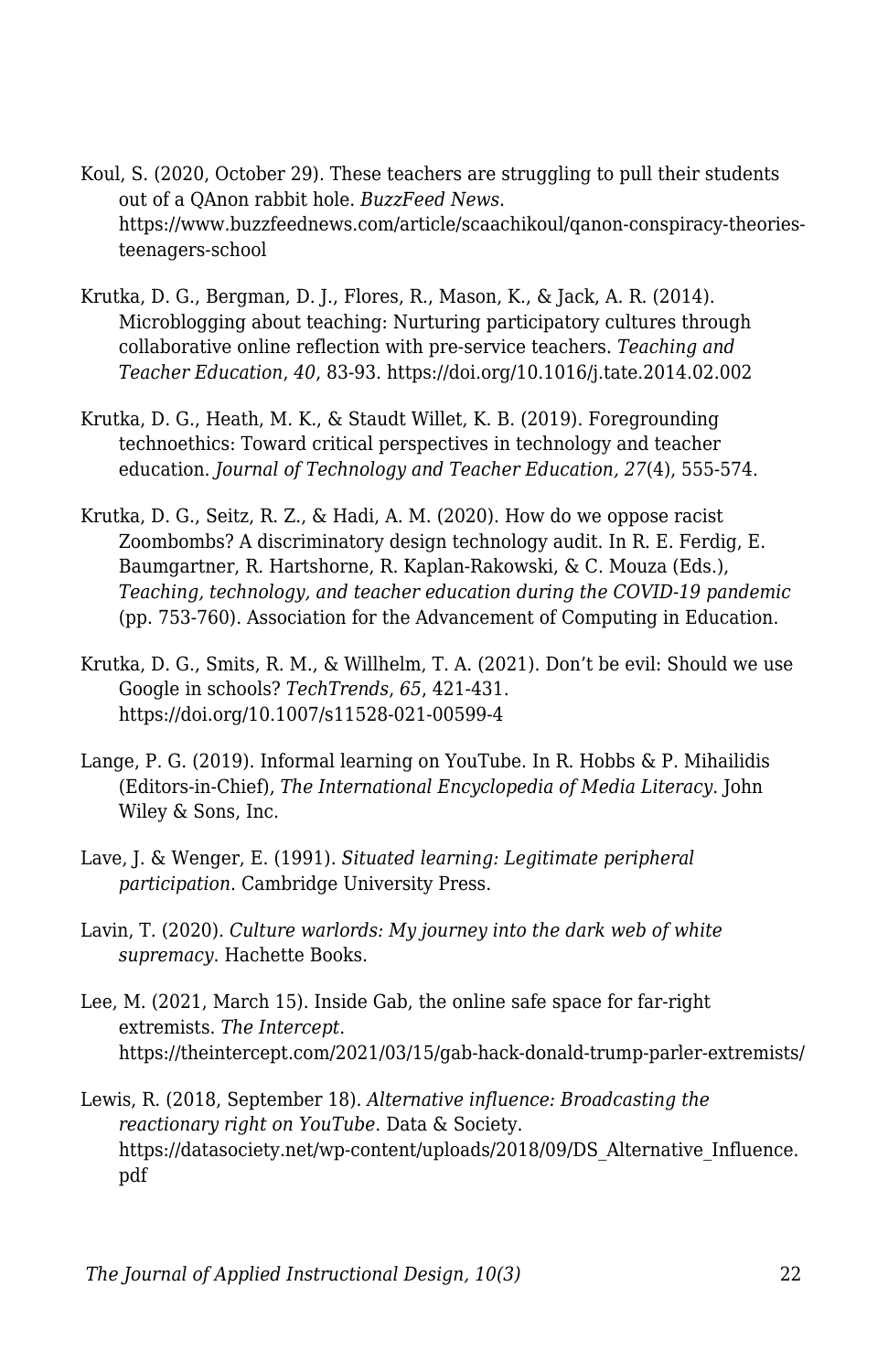- Koul, S. (2020, October 29). These teachers are struggling to pull their students out of a QAnon rabbit hole. *BuzzFeed News*. https://www.buzzfeednews.com/article/scaachikoul/qanon-conspiracy-theoriesteenagers-school
- Krutka, D. G., Bergman, D. J., Flores, R., Mason, K., & Jack, A. R. (2014). Microblogging about teaching: Nurturing participatory cultures through collaborative online reflection with pre-service teachers. *Teaching and Teacher Education*, *40*, 83-93. https://doi.org/10.1016/j.tate.2014.02.002
- Krutka, D. G., Heath, M. K., & Staudt Willet, K. B. (2019). Foregrounding technoethics: Toward critical perspectives in technology and teacher education. *Journal of Technology and Teacher Education, 27*(4), 555-574.
- Krutka, D. G., Seitz, R. Z., & Hadi, A. M. (2020). How do we oppose racist Zoombombs? A discriminatory design technology audit. In R. E. Ferdig, E. Baumgartner, R. Hartshorne, R. Kaplan-Rakowski, & C. Mouza (Eds.), *Teaching, technology, and teacher education during the COVID-19 pandemic* (pp. 753-760). Association for the Advancement of Computing in Education.
- Krutka, D. G., Smits, R. M., & Willhelm, T. A. (2021). Don't be evil: Should we use Google in schools? *TechTrends*, *65*, 421-431. https://doi.org/10.1007/s11528-021-00599-4
- Lange, P. G. (2019). Informal learning on YouTube. In R. Hobbs & P. Mihailidis (Editors-in-Chief), *The International Encyclopedia of Media Literacy*. John Wiley & Sons, Inc.
- Lave, J. & Wenger, E. (1991). *Situated learning: Legitimate peripheral participation*. Cambridge University Press.
- Lavin, T. (2020). *Culture warlords: My journey into the dark web of white supremacy*. Hachette Books.
- Lee, M. (2021, March 15). Inside Gab, the online safe space for far-right extremists. *The Intercept*. https://theintercept.com/2021/03/15/gab-hack-donald-trump-parler-extremists/
- Lewis, R. (2018, September 18). *Alternative influence: Broadcasting the reactionary right on YouTube*. Data & Society. https://datasociety.net/wp-content/uploads/2018/09/DS\_Alternative\_Influence. pdf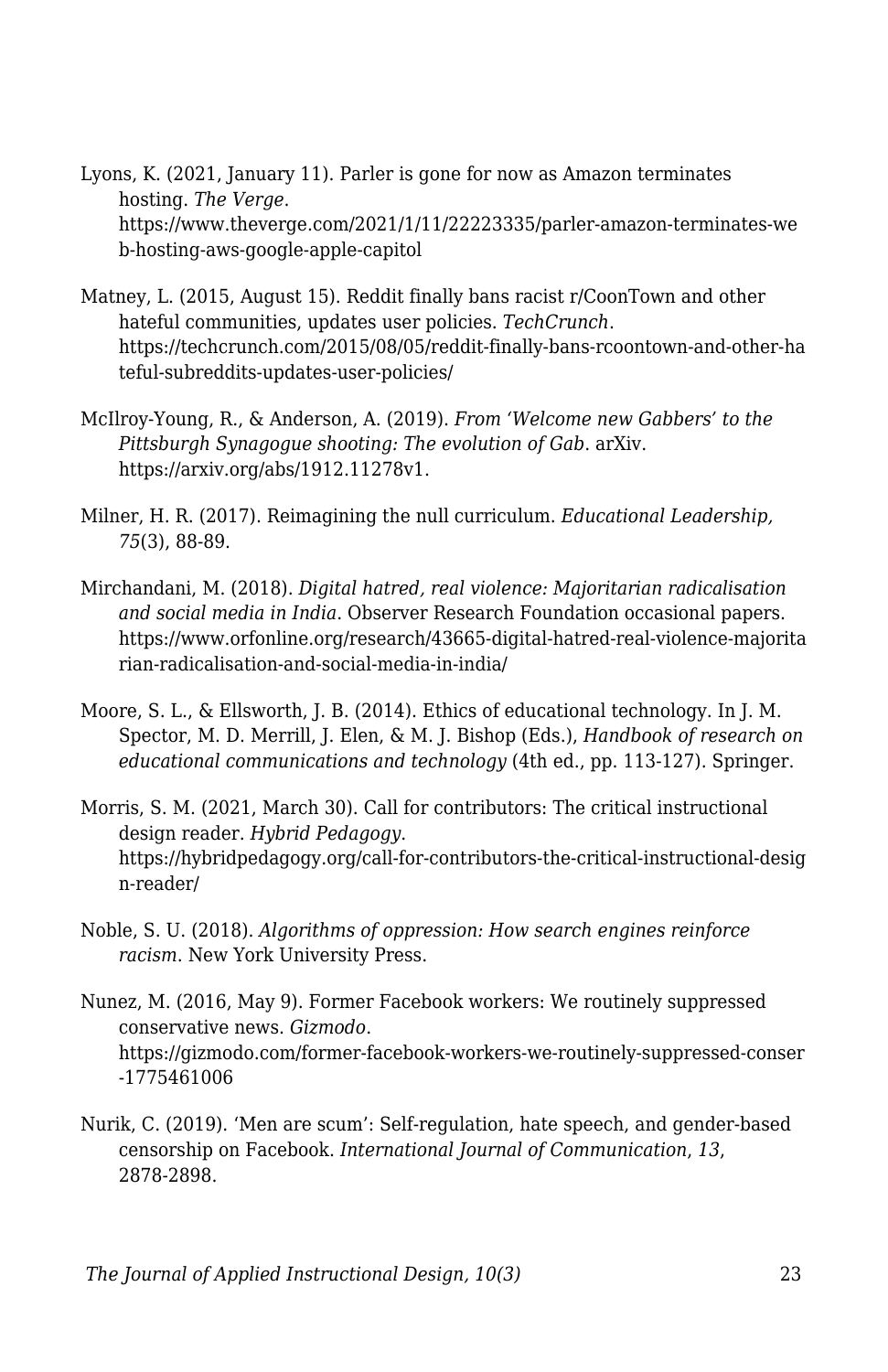Lyons, K. (2021, January 11). Parler is gone for now as Amazon terminates hosting. *The Verge*. https://www.theverge.com/2021/1/11/22223335/parler-amazon-terminates-we b-hosting-aws-google-apple-capitol

- Matney, L. (2015, August 15). Reddit finally bans racist r/CoonTown and other hateful communities, updates user policies. *TechCrunch*. https://techcrunch.com/2015/08/05/reddit-finally-bans-rcoontown-and-other-ha teful-subreddits-updates-user-policies/
- McIlroy-Young, R., & Anderson, A. (2019). *From 'Welcome new Gabbers' to the Pittsburgh Synagogue shooting: The evolution of Gab*. arXiv. https://arxiv.org/abs/1912.11278v1.
- Milner, H. R. (2017). Reimagining the null curriculum. *Educational Leadership, 75*(3), 88-89.
- Mirchandani, M. (2018). *Digital hatred, real violence: Majoritarian radicalisation and social media in India*. Observer Research Foundation occasional papers. https://www.orfonline.org/research/43665-digital-hatred-real-violence-majorita rian-radicalisation-and-social-media-in-india/
- Moore, S. L., & Ellsworth, J. B. (2014). Ethics of educational technology. In J. M. Spector, M. D. Merrill, J. Elen, & M. J. Bishop (Eds.), *Handbook of research on educational communications and technology* (4th ed., pp. 113-127). Springer.
- Morris, S. M. (2021, March 30). Call for contributors: The critical instructional design reader. *Hybrid Pedagogy*. https://hybridpedagogy.org/call-for-contributors-the-critical-instructional-desig n-reader/
- Noble, S. U. (2018). *Algorithms of oppression: How search engines reinforce racism*. New York University Press.
- Nunez, M. (2016, May 9). Former Facebook workers: We routinely suppressed conservative news. *Gizmodo*. https://gizmodo.com/former-facebook-workers-we-routinely-suppressed-conser -1775461006
- Nurik, C. (2019). 'Men are scum': Self-regulation, hate speech, and gender-based censorship on Facebook. *International Journal of Communication*, *13*, 2878-2898.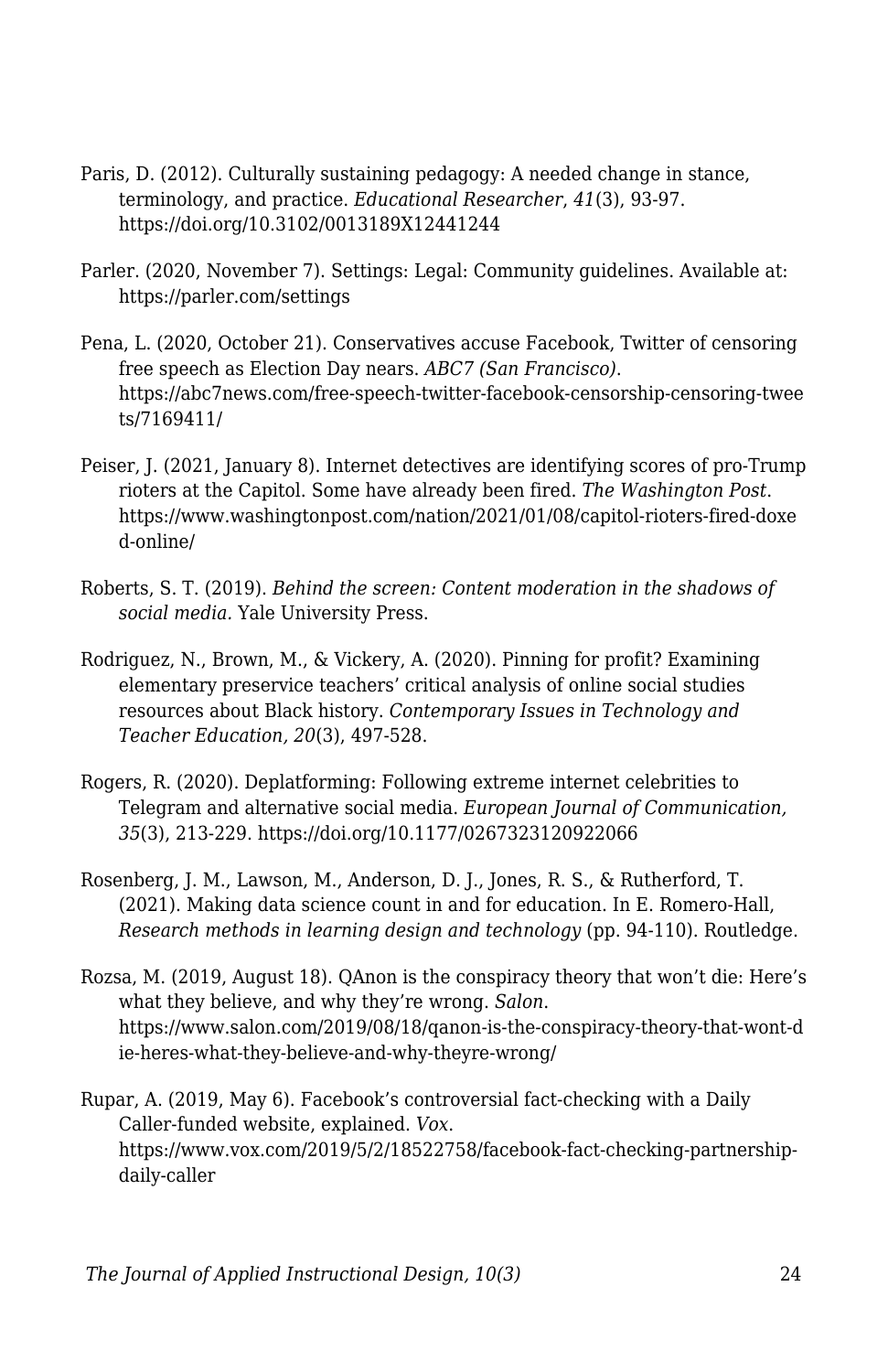- Paris, D. (2012). Culturally sustaining pedagogy: A needed change in stance, terminology, and practice. *Educational Researcher*, *41*(3), 93-97. https://doi.org/10.3102/0013189X12441244
- Parler. (2020, November 7). Settings: Legal: Community guidelines. Available at: https://parler.com/settings
- Pena, L. (2020, October 21). Conservatives accuse Facebook, Twitter of censoring free speech as Election Day nears. *ABC7 (San Francisco)*. https://abc7news.com/free-speech-twitter-facebook-censorship-censoring-twee ts/7169411/
- Peiser, J. (2021, January 8). Internet detectives are identifying scores of pro-Trump rioters at the Capitol. Some have already been fired. *The Washington Post*. https://www.washingtonpost.com/nation/2021/01/08/capitol-rioters-fired-doxe d-online/
- Roberts, S. T. (2019). *Behind the screen: Content moderation in the shadows of social media.* Yale University Press.
- Rodriguez, N., Brown, M., & Vickery, A. (2020). Pinning for profit? Examining elementary preservice teachers' critical analysis of online social studies resources about Black history. *Contemporary Issues in Technology and Teacher Education, 20*(3), 497-528.
- Rogers, R. (2020). Deplatforming: Following extreme internet celebrities to Telegram and alternative social media. *European Journal of Communication, 35*(3), 213-229. https://doi.org/10.1177/0267323120922066
- Rosenberg, J. M., Lawson, M., Anderson, D. J., Jones, R. S., & Rutherford, T. (2021). Making data science count in and for education. In E. Romero-Hall, *Research methods in learning design and technology* (pp. 94-110). Routledge.
- Rozsa, M. (2019, August 18). QAnon is the conspiracy theory that won't die: Here's what they believe, and why they're wrong. *Salon*. https://www.salon.com/2019/08/18/qanon-is-the-conspiracy-theory-that-wont-d ie-heres-what-they-believe-and-why-theyre-wrong/

Rupar, A. (2019, May 6). Facebook's controversial fact-checking with a Daily Caller-funded website, explained. *Vox*. https://www.vox.com/2019/5/2/18522758/facebook-fact-checking-partnershipdaily-caller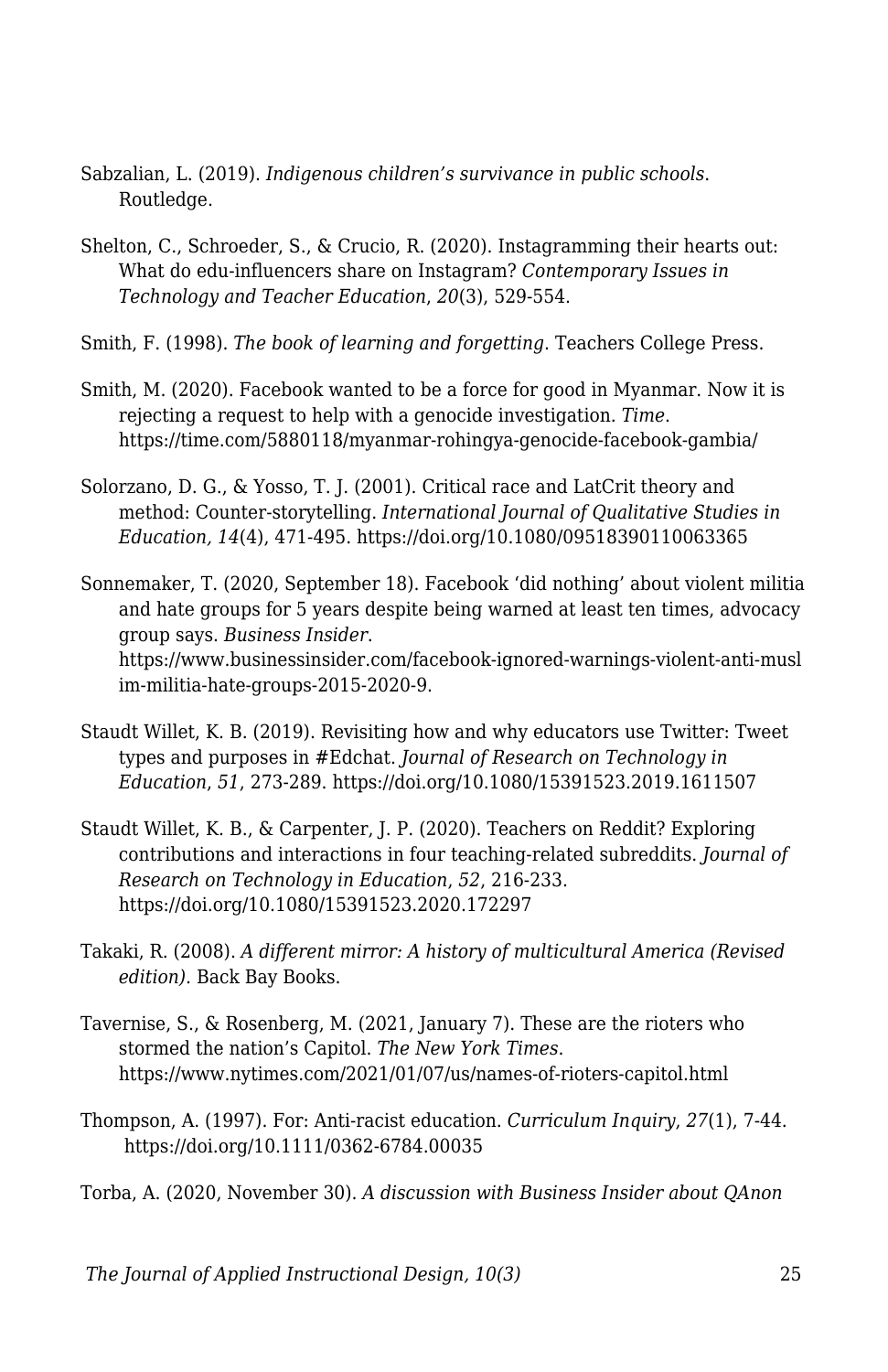- Sabzalian, L. (2019). *Indigenous children's survivance in public schools*. Routledge.
- Shelton, C., Schroeder, S., & Crucio, R. (2020). Instagramming their hearts out: What do edu-influencers share on Instagram? *Contemporary Issues in Technology and Teacher Education*, *20*(3), 529-554.
- Smith, F. (1998). *The book of learning and forgetting*. Teachers College Press.
- Smith, M. (2020). Facebook wanted to be a force for good in Myanmar. Now it is rejecting a request to help with a genocide investigation. *Time*. https://time.com/5880118/myanmar-rohingya-genocide-facebook-gambia/
- Solorzano, D. G., & Yosso, T. J. (2001). Critical race and LatCrit theory and method: Counter-storytelling. *International Journal of Qualitative Studies in Education, 14*(4), 471-495. https://doi.org/10.1080/09518390110063365
- Sonnemaker, T. (2020, September 18). Facebook 'did nothing' about violent militia and hate groups for 5 years despite being warned at least ten times, advocacy group says. *Business Insider*. https://www.businessinsider.com/facebook-ignored-warnings-violent-anti-musl im-militia-hate-groups-2015-2020-9.
- Staudt Willet, K. B. (2019). Revisiting how and why educators use Twitter: Tweet types and purposes in #Edchat. *Journal of Research on Technology in Education*, *51*, 273-289. https://doi.org/10.1080/15391523.2019.1611507
- Staudt Willet, K. B., & Carpenter, J. P. (2020). Teachers on Reddit? Exploring contributions and interactions in four teaching-related subreddits. *Journal of Research on Technology in Education*, *52*, 216-233. https://doi.org/10.1080/15391523.2020.172297
- Takaki, R. (2008). *A different mirror: A history of multicultural America (Revised edition)*. Back Bay Books.
- Tavernise, S., & Rosenberg, M. (2021, January 7). These are the rioters who stormed the nation's Capitol. *The New York Times*. https://www.nytimes.com/2021/01/07/us/names-of-rioters-capitol.html
- Thompson, A. (1997). For: Anti-racist education. *Curriculum Inquiry*, *27*(1), 7-44. https://doi.org/10.1111/0362-6784.00035

Torba, A. (2020, November 30). *A discussion with Business Insider about QAnon*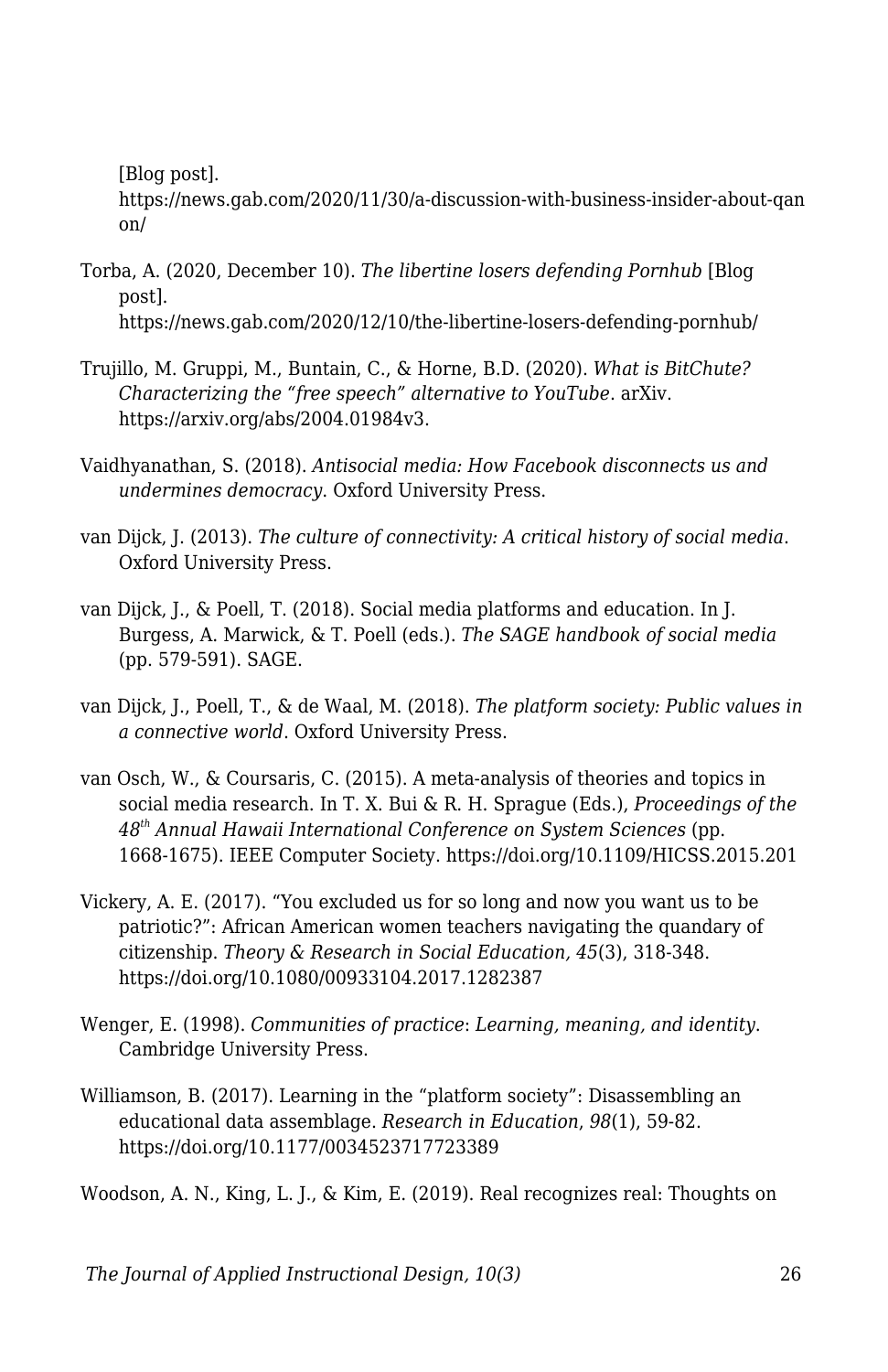[Blog post].

https://news.gab.com/2020/11/30/a-discussion-with-business-insider-about-qan on/

- Torba, A. (2020, December 10). *The libertine losers defending Pornhub* [Blog post]. https://news.gab.com/2020/12/10/the-libertine-losers-defending-pornhub/
- Trujillo, M. Gruppi, M., Buntain, C., & Horne, B.D. (2020). *What is BitChute? Characterizing the "free speech" alternative to YouTube*. arXiv. https://arxiv.org/abs/2004.01984v3.
- Vaidhyanathan, S. (2018). *Antisocial media: How Facebook disconnects us and undermines democracy*. Oxford University Press.
- van Dijck, J. (2013). *The culture of connectivity: A critical history of social media*. Oxford University Press.
- van Dijck, J., & Poell, T. (2018). Social media platforms and education. In J. Burgess, A. Marwick, & T. Poell (eds.). *The SAGE handbook of social media* (pp. 579-591). SAGE.
- van Dijck, J., Poell, T., & de Waal, M. (2018). *The platform society: Public values in a connective world*. Oxford University Press.
- van Osch, W., & Coursaris, C. (2015). A meta-analysis of theories and topics in social media research. In T. X. Bui & R. H. Sprague (Eds.), *Proceedings of the 48th Annual Hawaii International Conference on System Sciences* (pp. 1668-1675). IEEE Computer Society. https://doi.org/10.1109/HICSS.2015.201
- Vickery, A. E. (2017). "You excluded us for so long and now you want us to be patriotic?": African American women teachers navigating the quandary of citizenship. *Theory & Research in Social Education, 45*(3), 318-348. https://doi.org/10.1080/00933104.2017.1282387
- Wenger, E. (1998). *Communities of practice*: *Learning, meaning, and identity*. Cambridge University Press.
- Williamson, B. (2017). Learning in the "platform society": Disassembling an educational data assemblage. *Research in Education*, *98*(1), 59-82. https://doi.org/10.1177/0034523717723389

Woodson, A. N., King, L. J., & Kim, E. (2019). Real recognizes real: Thoughts on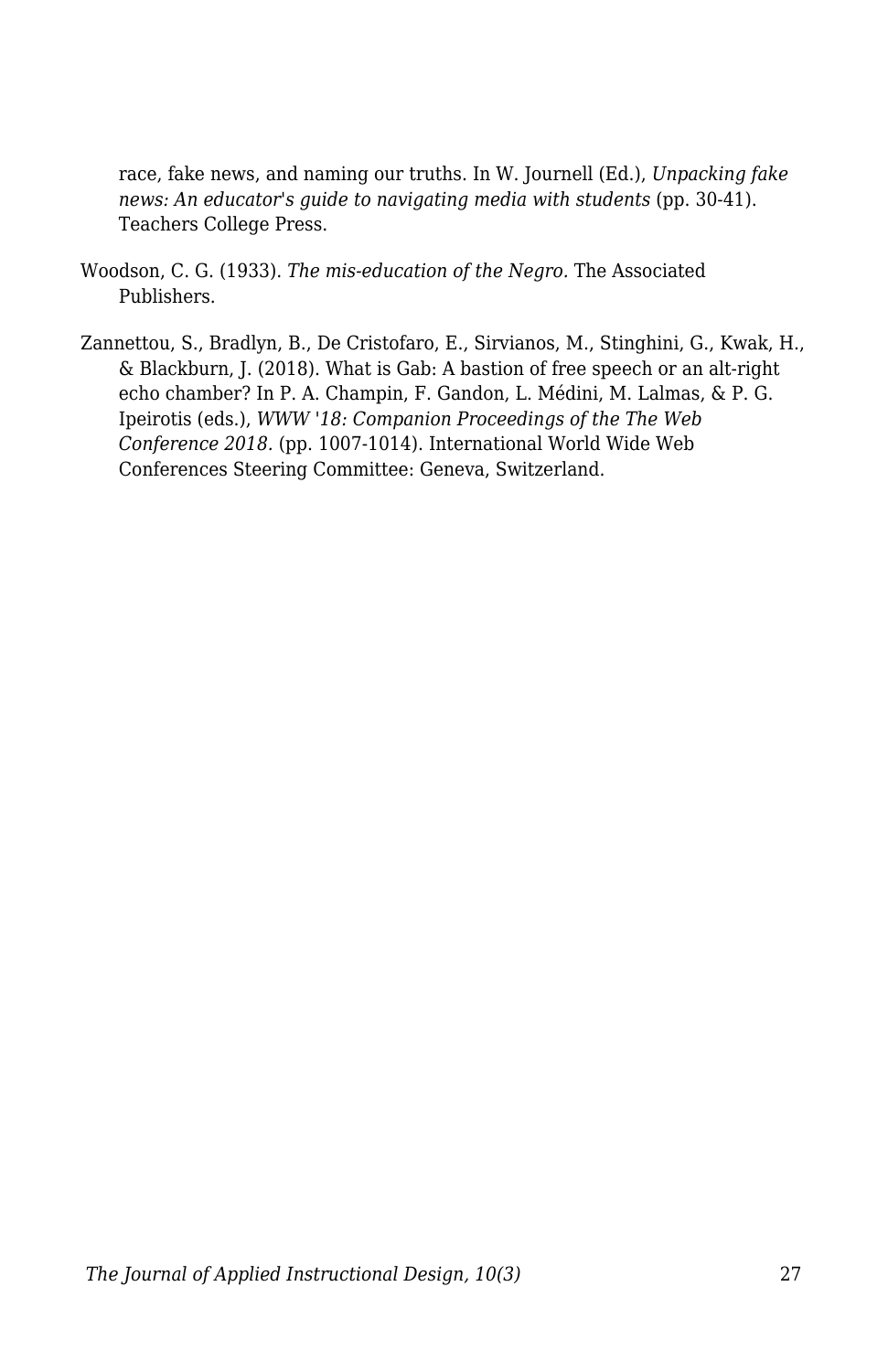race, fake news, and naming our truths. In W. Journell (Ed.), *Unpacking fake news: An educator's guide to navigating media with students* (pp. 30-41). Teachers College Press.

- Woodson, C. G. (1933). *The mis-education of the Negro.* The Associated Publishers.
- Zannettou, S., Bradlyn, B., De Cristofaro, E., Sirvianos, M., Stinghini, G., Kwak, H., & Blackburn, J. (2018). What is Gab: A bastion of free speech or an alt-right echo chamber? In P. A. Champin, F. Gandon, L. Médini, M. Lalmas, & P. G. Ipeirotis (eds.), *WWW '18: Companion Proceedings of the The Web Conference 2018.* (pp. 1007-1014). International World Wide Web Conferences Steering Committee: Geneva, Switzerland.